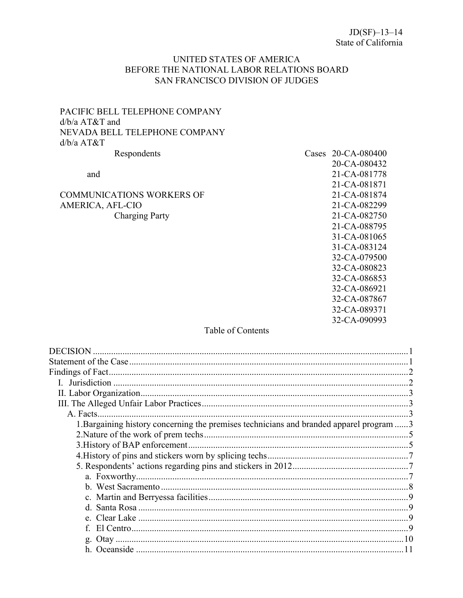# UNITED STATES OF AMERICA BEFORE THE NATIONAL LABOR RELATIONS BOARD SAN FRANCISCO DIVISION OF JUDGES

# PACIFIC BELL TELEPHONE COMPANY  $d/b/a$  AT&T and NEVADA BELL TELEPHONE COMPANY  $d/b/a$   $AT&T$ Respondents

and

COMMUNICATIONS WORKERS OF AMERICA, AFL-CIO **Charging Party** 

# Cases 20-CA-080400 20-CA-080432 21-CA-081778 21-CA-081871 21-CA-081874 21-CA-082299 21-CA-082750 21-CA-088795 31-CA-081065 31-CA-083124 32-CA-079500 32-CA-080823 32-CA-086853 32-CA-086921 32-CA-087867 32-CA-089371 32-CA-090993

# Table of Contents

| $\mathcal{D}_{\mathcal{A}}$                                                              |
|------------------------------------------------------------------------------------------|
|                                                                                          |
|                                                                                          |
|                                                                                          |
| 1. Bargaining history concerning the premises technicians and branded apparel program  3 |
|                                                                                          |
|                                                                                          |
|                                                                                          |
|                                                                                          |
|                                                                                          |
|                                                                                          |
|                                                                                          |
| 9                                                                                        |
|                                                                                          |
|                                                                                          |
|                                                                                          |
|                                                                                          |
|                                                                                          |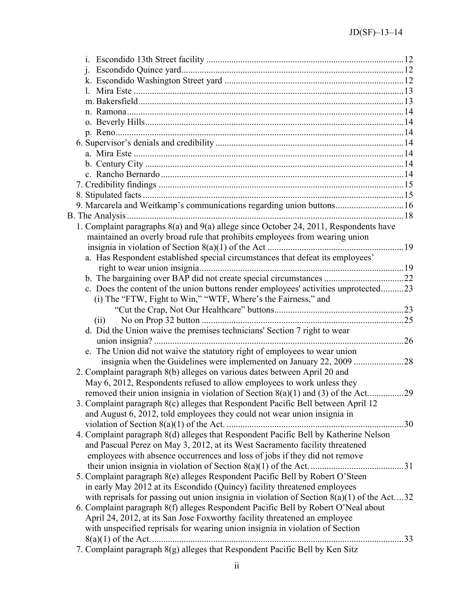| j.                                                                                           |     |
|----------------------------------------------------------------------------------------------|-----|
|                                                                                              |     |
|                                                                                              |     |
|                                                                                              |     |
|                                                                                              |     |
|                                                                                              |     |
|                                                                                              |     |
|                                                                                              |     |
|                                                                                              |     |
|                                                                                              |     |
|                                                                                              |     |
|                                                                                              |     |
|                                                                                              |     |
| 9. Marcarela and Weitkamp's communications regarding union buttons16                         |     |
|                                                                                              |     |
| 1. Complaint paragraphs 8(a) and 9(a) allege since October 24, 2011, Respondents have        |     |
| maintained an overly broad rule that prohibits employees from wearing union                  |     |
|                                                                                              |     |
| a. Has Respondent established special circumstances that defeat its employees'               |     |
|                                                                                              |     |
|                                                                                              |     |
| c. Does the content of the union buttons render employees' activities unprotected23          |     |
| (i) The "FTW, Fight to Win," "WTF, Where's the Fairness," and                                |     |
|                                                                                              |     |
| (ii)                                                                                         |     |
| d. Did the Union waive the premises technicians' Section 7 right to wear                     |     |
|                                                                                              |     |
| e. The Union did not waive the statutory right of employees to wear union                    |     |
|                                                                                              |     |
| 2. Complaint paragraph 8(b) alleges on various dates between April 20 and                    |     |
| May 6, 2012, Respondents refused to allow employees to work unless they                      |     |
| removed their union insignia in violation of Section 8(a)(1) and (3) of the Act29            |     |
| 3. Complaint paragraph 8(c) alleges that Respondent Pacific Bell between April 12            |     |
| and August 6, 2012, told employees they could not wear union insignia in                     |     |
|                                                                                              |     |
| 4. Complaint paragraph 8(d) alleges that Respondent Pacific Bell by Katherine Nelson         |     |
| and Pascual Perez on May 3, 2012, at its West Sacramento facility threatened                 |     |
| employees with absence occurrences and loss of jobs if they did not remove                   |     |
|                                                                                              |     |
| 5. Complaint paragraph 8(e) alleges Respondent Pacific Bell by Robert O'Steen                |     |
| in early May 2012 at its Escondido (Quincy) facility threatened employees                    |     |
| with reprisals for passing out union insignia in violation of Section $8(a)(1)$ of the Act32 |     |
| 6. Complaint paragraph 8(f) alleges Respondent Pacific Bell by Robert O'Neal about           |     |
| April 24, 2012, at its San Jose Foxworthy facility threatened an employee                    |     |
|                                                                                              |     |
| with unspecified reprisals for wearing union insignia in violation of Section                |     |
| 7. Complaint paragraph 8(g) alleges that Respondent Pacific Bell by Ken Sitz                 | .33 |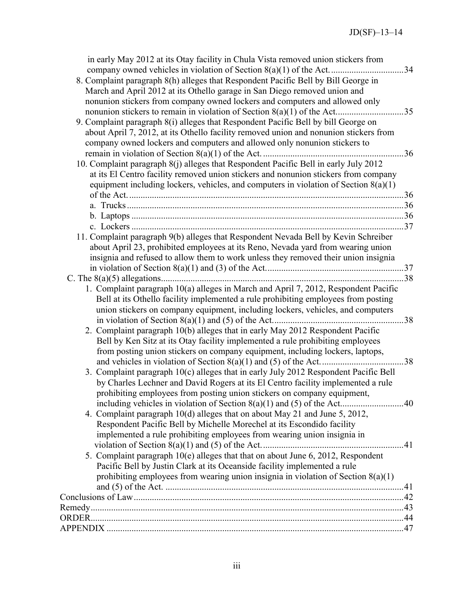| in early May 2012 at its Otay facility in Chula Vista removed union stickers from      |  |
|----------------------------------------------------------------------------------------|--|
|                                                                                        |  |
| 8. Complaint paragraph 8(h) alleges that Respondent Pacific Bell by Bill George in     |  |
| March and April 2012 at its Othello garage in San Diego removed union and              |  |
| nonunion stickers from company owned lockers and computers and allowed only            |  |
|                                                                                        |  |
| 9. Complaint paragraph 8(i) alleges that Respondent Pacific Bell by bill George on     |  |
| about April 7, 2012, at its Othello facility removed union and nonunion stickers from  |  |
| company owned lockers and computers and allowed only nonunion stickers to              |  |
|                                                                                        |  |
| 10. Complaint paragraph 8(j) alleges that Respondent Pacific Bell in early July 2012   |  |
| at its El Centro facility removed union stickers and nonunion stickers from company    |  |
| equipment including lockers, vehicles, and computers in violation of Section $8(a)(1)$ |  |
|                                                                                        |  |
|                                                                                        |  |
|                                                                                        |  |
|                                                                                        |  |
| 11. Complaint paragraph 9(b) alleges that Respondent Nevada Bell by Kevin Schreiber    |  |
|                                                                                        |  |
| about April 23, prohibited employees at its Reno, Nevada yard from wearing union       |  |
| insignia and refused to allow them to work unless they removed their union insignia    |  |
|                                                                                        |  |
|                                                                                        |  |
| 1. Complaint paragraph 10(a) alleges in March and April 7, 2012, Respondent Pacific    |  |
| Bell at its Othello facility implemented a rule prohibiting employees from posting     |  |
| union stickers on company equipment, including lockers, vehicles, and computers        |  |
|                                                                                        |  |
| 2. Complaint paragraph 10(b) alleges that in early May 2012 Respondent Pacific         |  |
| Bell by Ken Sitz at its Otay facility implemented a rule prohibiting employees         |  |
| from posting union stickers on company equipment, including lockers, laptops,          |  |
|                                                                                        |  |
| 3. Complaint paragraph 10(c) alleges that in early July 2012 Respondent Pacific Bell   |  |
| by Charles Lechner and David Rogers at its El Centro facility implemented a rule       |  |
| prohibiting employees from posting union stickers on company equipment,                |  |
|                                                                                        |  |
| 4. Complaint paragraph 10(d) alleges that on about May 21 and June 5, 2012,            |  |
| Respondent Pacific Bell by Michelle Morechel at its Escondido facility                 |  |
| implemented a rule prohibiting employees from wearing union insignia in                |  |
|                                                                                        |  |
| 5. Complaint paragraph 10(e) alleges that that on about June 6, 2012, Respondent       |  |
| Pacific Bell by Justin Clark at its Oceanside facility implemented a rule              |  |
| prohibiting employees from wearing union insignia in violation of Section $8(a)(1)$    |  |
|                                                                                        |  |
|                                                                                        |  |
|                                                                                        |  |
|                                                                                        |  |
|                                                                                        |  |
|                                                                                        |  |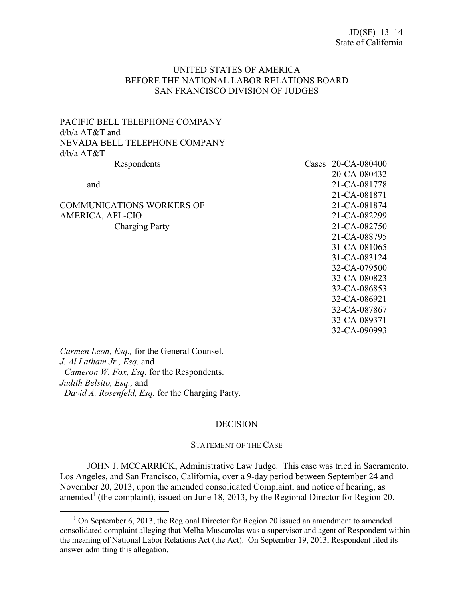## UNITED STATES OF AMERICA BEFORE THE NATIONAL LABOR RELATIONS BOARD SAN FRANCISCO DIVISION OF JUDGES

PACIFIC BELL TELEPHONE COMPANY d/b/a AT&T and NEVADA BELL TELEPHONE COMPANY d/b/a AT&T

 $\overline{a}$ 

COMMUNICATIONS WORKERS OF 21-CA-081874 AMERICA, AFL-CIO 21-CA-082299 Charging Party 21-CA-082750

# Respondents Cases 20-CA-080400 20-CA-080432 and 21-CA-081778 21-CA-081871 21-CA-088795 31-CA-081065 31-CA-083124 32-CA-079500 32-CA-080823 32-CA-086853 32-CA-086921 32-CA-087867 32-CA-089371 32-CA-090993

*Carmen Leon, Esq.,* for the General Counsel. *J. Al Latham Jr., Esq.* and *Cameron W. Fox, Esq.* for the Respondents. *Judith Belsito, Esq.,* and *David A. Rosenfeld, Esq.* for the Charging Party.

### **DECISION**

#### STATEMENT OF THE CASE

<span id="page-3-1"></span><span id="page-3-0"></span>JOHN J. MCCARRICK, Administrative Law Judge. This case was tried in Sacramento, Los Angeles, and San Francisco, California, over a 9-day period between September 24 and November 20, 2013, upon the amended consolidated Complaint, and notice of hearing, as amended<sup>[1](#page-3-2)</sup> (the complaint), issued on June 18, 2013, by the Regional Director for Region 20.

<span id="page-3-2"></span> $1$  On September 6, 2013, the Regional Director for Region 20 issued an amendment to amended consolidated complaint alleging that Melba Muscarolas was a supervisor and agent of Respondent within the meaning of National Labor Relations Act (the Act). On September 19, 2013, Respondent filed its answer admitting this allegation.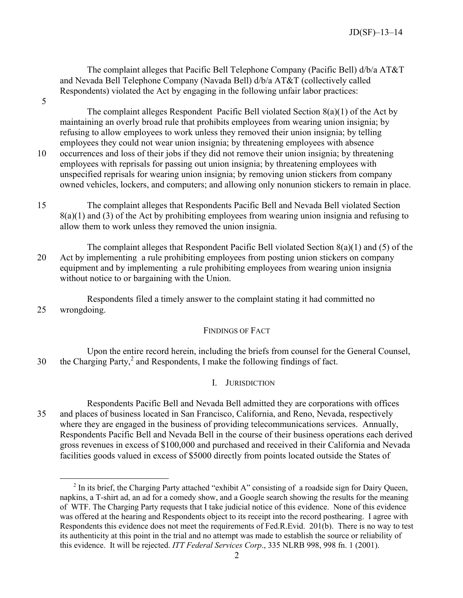The complaint alleges that Pacific Bell Telephone Company (Pacific Bell) d/b/a AT&T and Nevada Bell Telephone Company (Navada Bell) d/b/a AT&T (collectively called Respondents) violated the Act by engaging in the following unfair labor practices:

5

 $\overline{a}$ 

The complaint alleges Respondent Pacific Bell violated Section 8(a)(1) of the Act by maintaining an overly broad rule that prohibits employees from wearing union insignia; by refusing to allow employees to work unless they removed their union insignia; by telling employees they could not wear union insignia; by threatening employees with absence 10 occurrences and loss of their jobs if they did not remove their union insignia; by threatening employees with reprisals for passing out union insignia; by threatening employees with unspecified reprisals for wearing union insignia; by removing union stickers from company owned vehicles, lockers, and computers; and allowing only nonunion stickers to remain in place.

- 15 The complaint alleges that Respondents Pacific Bell and Nevada Bell violated Section 8(a)(1) and (3) of the Act by prohibiting employees from wearing union insignia and refusing to allow them to work unless they removed the union insignia.
- The complaint alleges that Respondent Pacific Bell violated Section 8(a)(1) and (5) of the 20 Act by implementing a rule prohibiting employees from posting union stickers on company equipment and by implementing a rule prohibiting employees from wearing union insignia without notice to or bargaining with the Union.

Respondents filed a timely answer to the complaint stating it had committed no 25 wrongdoing.

### FINDINGS OF FACT

<span id="page-4-0"></span>Upon the entire record herein, including the briefs from counsel for the General Counsel, 30 the Charging Party,<sup>[2](#page-4-2)</sup> and Respondents, I make the following findings of fact.

# I. JURISDICTION

<span id="page-4-1"></span>Respondents Pacific Bell and Nevada Bell admitted they are corporations with offices 35 and places of business located in San Francisco, California, and Reno, Nevada, respectively where they are engaged in the business of providing telecommunications services. Annually, Respondents Pacific Bell and Nevada Bell in the course of their business operations each derived gross revenues in excess of \$100,000 and purchased and received in their California and Nevada facilities goods valued in excess of \$5000 directly from points located outside the States of

<span id="page-4-2"></span> $2^2$  In its brief, the Charging Party attached "exhibit A" consisting of a roadside sign for Dairy Queen, napkins, a T-shirt ad, an ad for a comedy show, and a Google search showing the results for the meaning of WTF. The Charging Party requests that I take judicial notice of this evidence. None of this evidence was offered at the hearing and Respondents object to its receipt into the record posthearing. I agree with Respondents this evidence does not meet the requirements of Fed.R.Evid. 201(b). There is no way to test its authenticity at this point in the trial and no attempt was made to establish the source or reliability of this evidence. It will be rejected. *ITT Federal Services Corp*., 335 NLRB 998, 998 fn. 1 (2001).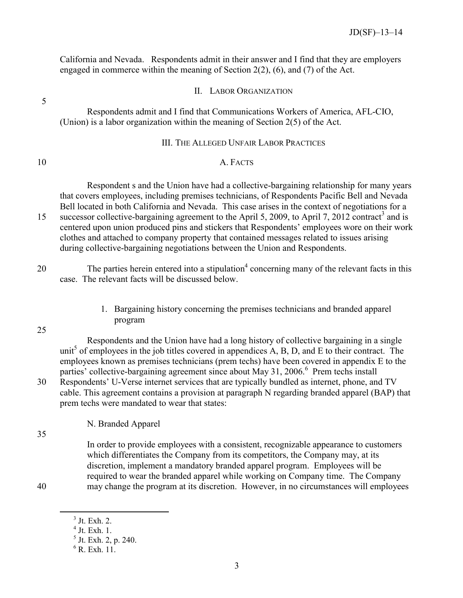California and Nevada. Respondents admit in their answer and I find that they are employers engaged in commerce within the meaning of Section 2(2), (6), and (7) of the Act.

<span id="page-5-0"></span>5

# II. LABOR ORGANIZATION

Respondents admit and I find that Communications Workers of America, AFL-CIO, (Union) is a labor organization within the meaning of Section 2(5) of the Act.

## III. THE ALLEGED UNFAIR LABOR PRACTICES

# <span id="page-5-2"></span><span id="page-5-1"></span>10 A. FACTS

Respondent s and the Union have had a collective-bargaining relationship for many years that covers employees, including premises technicians, of Respondents Pacific Bell and Nevada Bell located in both California and Nevada. This case arises in the context of negotiations for a 15 successor collective-bargaining agreement to the April 5, 2009, to April 7, 2012 contract<sup>[3](#page-5-4)</sup> and is centered upon union produced pins and stickers that Respondents' employees wore on their work clothes and attached to company property that contained messages related to issues arising during collective-bargaining negotiations between the Union and Respondents.

20 The parties herein entered into a stipulation<sup>[4](#page-5-5)</sup> concerning many of the relevant facts in this case. The relevant facts will be discussed below.

> 1. Bargaining history concerning the premises technicians and branded apparel program

<span id="page-5-3"></span>25

Respondents and the Union have had a long history of collective bargaining in a single unit<sup>[5](#page-5-6)</sup> of employees in the job titles covered in appendices  $\overline{A}$ ,  $\overline{B}$ ,  $\overline{D}$ , and  $\overline{E}$  to their contract. The employees known as premises technicians (prem techs) have been covered in appendix E to the parties' collective-bargaining agreement since about May 31, 200[6](#page-5-7).<sup>6</sup> Prem techs install 30 Respondents' U-Verse internet services that are typically bundled as internet, phone, and TV cable. This agreement contains a provision at paragraph N regarding branded apparel (BAP) that prem techs were mandated to wear that states:

 $\overline{a}$ 

N. Branded Apparel

35

In order to provide employees with a consistent, recognizable appearance to customers which differentiates the Company from its competitors, the Company may, at its discretion, implement a mandatory branded apparel program. Employees will be required to wear the branded apparel while working on Company time. The Company 40 may change the program at its discretion. However, in no circumstances will employees

<span id="page-5-7"></span><span id="page-5-6"></span><span id="page-5-5"></span><span id="page-5-4"></span>

 $3$  Jt. Exh. 2.

<sup>4</sup> Jt. Exh. 1.

<sup>5</sup> Jt. Exh. 2, p. 240.

 $6$  R. Exh. 11.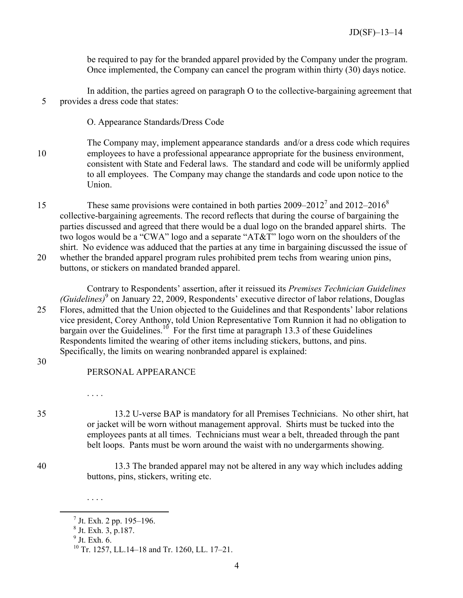be required to pay for the branded apparel provided by the Company under the program. Once implemented, the Company can cancel the program within thirty (30) days notice.

In addition, the parties agreed on paragraph O to the collective-bargaining agreement that 5 provides a dress code that states:

O. Appearance Standards/Dress Code

- The Company may, implement appearance standards and/or a dress code which requires 10 employees to have a professional appearance appropriate for the business environment, consistent with State and Federal laws. The standard and code will be uniformly applied to all employees. The Company may change the standards and code upon notice to the Union.
- These same provisions were contained in both parties  $2009-2012^7$  $2009-2012^7$  and  $2012-2016^8$  $2012-2016^8$ 15 collective-bargaining agreements. The record reflects that during the course of bargaining the parties discussed and agreed that there would be a dual logo on the branded apparel shirts. The two logos would be a "CWA" logo and a separate "AT&T" logo worn on the shoulders of the shirt. No evidence was adduced that the parties at any time in bargaining discussed the issue of 20 whether the branded apparel program rules prohibited prem techs from wearing union pins, buttons, or stickers on mandated branded apparel.

Contrary to Respondents' assertion, after it reissued its *Premises Technician Guidelines (Guidelines)*[9](#page-6-2) on January 22, 2009, Respondents' executive director of labor relations, Douglas 25 Flores, admitted that the Union objected to the Guidelines and that Respondents' labor relations vice president, Corey Anthony, told Union Representative Tom Runnion it had no obligation to bargain over the Guidelines.<sup>[10](#page-6-3)</sup> For the first time at paragraph 13.3 of these Guidelines Respondents limited the wearing of other items including stickers, buttons, and pins. Specifically, the limits on wearing nonbranded apparel is explained:

30

# PERSONAL APPEARANCE

35 13.2 U-verse BAP is mandatory for all Premises Technicians. No other shirt, hat or jacket will be worn without management approval. Shirts must be tucked into the employees pants at all times. Technicians must wear a belt, threaded through the pant belt loops. Pants must be worn around the waist with no undergarments showing.

40 13.3 The branded apparel may not be altered in any way which includes adding buttons, pins, stickers, writing etc.

9 Jt. Exh. 6.

. . . .

<span id="page-6-3"></span><span id="page-6-2"></span><span id="page-6-1"></span><span id="page-6-0"></span> $\overline{a}$ 

. . . .

 $<sup>7</sup>$  Jt. Exh. 2 pp. 195–196.</sup>

 $^8$  Jt. Exh. 3, p. 187.

<sup>10</sup> Tr. 1257, LL.14–18 and Tr. 1260, LL. 17–21.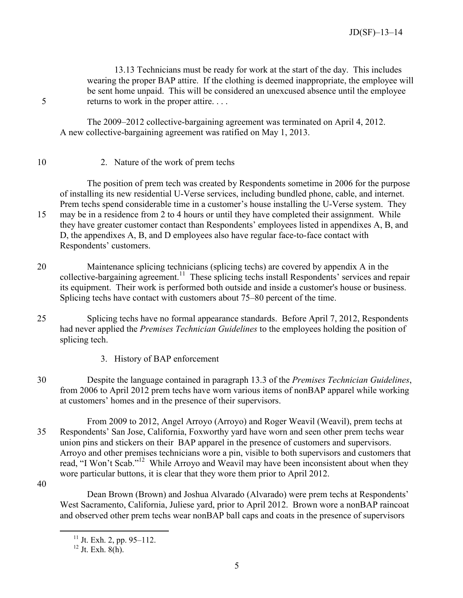13.13 Technicians must be ready for work at the start of the day. This includes wearing the proper BAP attire. If the clothing is deemed inappropriate, the employee will be sent home unpaid. This will be considered an unexcused absence until the employee 5 returns to work in the proper attire. . . .

The 2009–2012 collective-bargaining agreement was terminated on April 4, 2012. A new collective-bargaining agreement was ratified on May 1, 2013.

<span id="page-7-0"></span>10 2. Nature of the work of prem techs

The position of prem tech was created by Respondents sometime in 2006 for the purpose of installing its new residential U-Verse services, including bundled phone, cable, and internet. Prem techs spend considerable time in a customer's house installing the U-Verse system. They 15 may be in a residence from 2 to 4 hours or until they have completed their assignment. While they have greater customer contact than Respondents' employees listed in appendixes A, B, and D, the appendixes A, B, and D employees also have regular face-to-face contact with Respondents' customers.

- 20 Maintenance splicing technicians (splicing techs) are covered by appendix A in the collective-bargaining agreement.<sup>[11](#page-7-2)</sup> These splicing techs install Respondents' services and repair its equipment. Their work is performed both outside and inside a customer's house or business. Splicing techs have contact with customers about 75–80 percent of the time.
- 25 Splicing techs have no formal appearance standards. Before April 7, 2012, Respondents had never applied the *Premises Technician Guidelines* to the employees holding the position of splicing tech.
	- 3. History of BAP enforcement
- <span id="page-7-1"></span>30 Despite the language contained in paragraph 13.3 of the *Premises Technician Guidelines*, from 2006 to April 2012 prem techs have worn various items of nonBAP apparel while working at customers' homes and in the presence of their supervisors.
- From 2009 to 2012, Angel Arroyo (Arroyo) and Roger Weavil (Weavil), prem techs at 35 Respondents' San Jose, California, Foxworthy yard have worn and seen other prem techs wear union pins and stickers on their BAP apparel in the presence of customers and supervisors. Arroyo and other premises technicians wore a pin, visible to both supervisors and customers that read, "I Won't Scab."<sup>[12](#page-7-3)</sup> While Arroyo and Weavil may have been inconsistent about when they wore particular buttons, it is clear that they wore them prior to April 2012.
- 40

<span id="page-7-3"></span><span id="page-7-2"></span> $\overline{a}$ 

Dean Brown (Brown) and Joshua Alvarado (Alvarado) were prem techs at Respondents' West Sacramento, California, Juliese yard, prior to April 2012. Brown wore a nonBAP raincoat and observed other prem techs wear nonBAP ball caps and coats in the presence of supervisors

 $11$  Jt. Exh. 2, pp. 95–112.

 $12$  Jt. Exh. 8(h).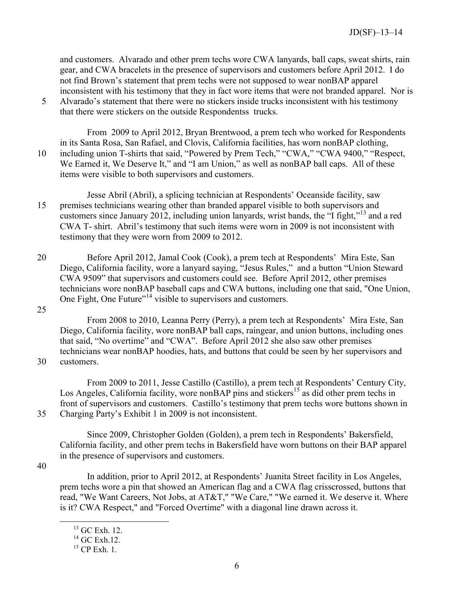and customers. Alvarado and other prem techs wore CWA lanyards, ball caps, sweat shirts, rain gear, and CWA bracelets in the presence of supervisors and customers before April 2012. I do not find Brown's statement that prem techs were not supposed to wear nonBAP apparel inconsistent with his testimony that they in fact wore items that were not branded apparel. Nor is

5 Alvarado's statement that there were no stickers inside trucks inconsistent with his testimony that there were stickers on the outside Respondentss trucks.

From 2009 to April 2012, Bryan Brentwood, a prem tech who worked for Respondents in its Santa Rosa, San Rafael, and Clovis, California facilities, has worn nonBAP clothing, 10 including union T-shirts that said, "Powered by Prem Tech," "CWA," "CWA 9400," "Respect, We Earned it, We Deserve It," and "I am Union," as well as nonBAP ball caps. All of these items were visible to both supervisors and customers.

Jesse Abril (Abril), a splicing technician at Respondents' Oceanside facility, saw 15 premises technicians wearing other than branded apparel visible to both supervisors and customers since January 2012, including union lanyards, wrist bands, the "I fight,"<sup>[13](#page-8-0)</sup> and a red CWA T- shirt. Abril's testimony that such items were worn in 2009 is not inconsistent with testimony that they were worn from 2009 to 2012.

- 20 Before April 2012, Jamal Cook (Cook), a prem tech at Respondents' Mira Este, San Diego, California facility, wore a lanyard saying, "Jesus Rules," and a button "Union Steward CWA 9509" that supervisors and customers could see. Before April 2012, other premises technicians wore nonBAP baseball caps and CWA buttons, including one that said, "One Union, One Fight, One Future"<sup>[14](#page-8-1)</sup> visible to supervisors and customers.
- 25

From 2008 to 2010, Leanna Perry (Perry), a prem tech at Respondents' Mira Este, San Diego, California facility, wore nonBAP ball caps, raingear, and union buttons, including ones that said, "No overtime" and "CWA". Before April 2012 she also saw other premises technicians wear nonBAP hoodies, hats, and buttons that could be seen by her supervisors and

30 customers.

From 2009 to 2011, Jesse Castillo (Castillo), a prem tech at Respondents' Century City, Los Angeles, California facility, wore nonBAP pins and stickers<sup>[15](#page-8-2)</sup> as did other prem techs in front of supervisors and customers. Castillo's testimony that prem techs wore buttons shown in 35 Charging Party's Exhibit 1 in 2009 is not inconsistent.

Since 2009, Christopher Golden (Golden), a prem tech in Respondents' Bakersfield, California facility, and other prem techs in Bakersfield have worn buttons on their BAP apparel in the presence of supervisors and customers.

40

<span id="page-8-2"></span><span id="page-8-1"></span><span id="page-8-0"></span> $\overline{a}$ 

In addition, prior to April 2012, at Respondents' Juanita Street facility in Los Angeles, prem techs wore a pin that showed an American flag and a CWA flag crisscrossed, buttons that read, "We Want Careers, Not Jobs, at AT&T," "We Care," "We earned it. We deserve it. Where is it? CWA Respect," and "Forced Overtime" with a diagonal line drawn across it.

<sup>13</sup> GC Exh. 12.

 $^{14}$  GC Exh.12.

 $^{15}$  CP Exh. 1.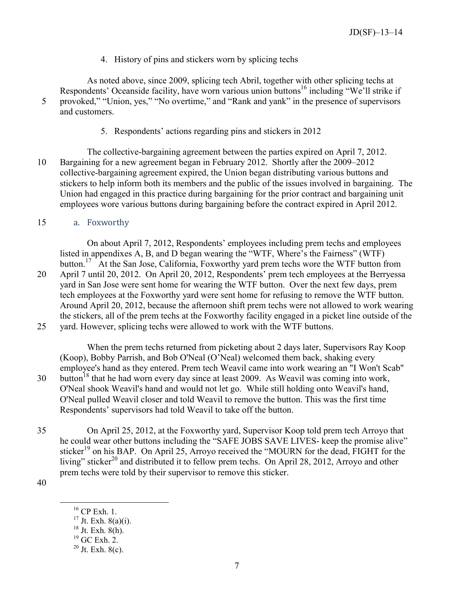4. History of pins and stickers worn by splicing techs

<span id="page-9-0"></span>As noted above, since 2009, splicing tech Abril, together with other splicing techs at Respondents' Oceanside facility, have worn various union buttons<sup>[16](#page-9-3)</sup> including "We'll strike if 5 provoked," "Union, yes," "No overtime," and "Rank and yank" in the presence of supervisors and customers.

5. Respondents' actions regarding pins and stickers in 2012

<span id="page-9-1"></span>The collective-bargaining agreement between the parties expired on April 7, 2012. 10 Bargaining for a new agreement began in February 2012. Shortly after the 2009–2012 collective-bargaining agreement expired, the Union began distributing various buttons and stickers to help inform both its members and the public of the issues involved in bargaining. The Union had engaged in this practice during bargaining for the prior contract and bargaining unit employees wore various buttons during bargaining before the contract expired in April 2012.

# <span id="page-9-2"></span>15 a. Foxworthy

On about April 7, 2012, Respondents' employees including prem techs and employees listed in appendixes A, B, and D began wearing the "WTF, Where's the Fairness" (WTF) button.<sup>[17](#page-9-4)</sup> At the San Jose, California, Foxworthy yard prem techs wore the WTF button from

20 April 7 until 20, 2012. On April 20, 2012, Respondents' prem tech employees at the Berryessa yard in San Jose were sent home for wearing the WTF button. Over the next few days, prem tech employees at the Foxworthy yard were sent home for refusing to remove the WTF button. Around April 20, 2012, because the afternoon shift prem techs were not allowed to work wearing the stickers, all of the prem techs at the Foxworthy facility engaged in a picket line outside of the 25 yard. However, splicing techs were allowed to work with the WTF buttons.

When the prem techs returned from picketing about 2 days later, Supervisors Ray Koop (Koop), Bobby Parrish, and Bob O'Neal (O'Neal) welcomed them back, shaking every employee's hand as they entered. Prem tech Weavil came into work wearing an "I Won't Scab" 30 button<sup>[18](#page-9-5)</sup> that he had worn every day since at least 2009. As Weavil was coming into work, O'Neal shook Weavil's hand and would not let go. While still holding onto Weavil's hand, O'Neal pulled Weavil closer and told Weavil to remove the button. This was the first time Respondents' supervisors had told Weavil to take off the button.

35 On April 25, 2012, at the Foxworthy yard, Supervisor Koop told prem tech Arroyo that he could wear other buttons including the "SAFE JOBS SAVE LIVES- keep the promise alive" sticker<sup>[19](#page-9-6)</sup> on his BAP. On April 25, Arroyo received the "MOURN for the dead, FIGHT for the living" sticker<sup>[20](#page-9-7)</sup> and distributed it to fellow prem techs. On April 28, 2012, Arroyo and other prem techs were told by their supervisor to remove this sticker.

<span id="page-9-6"></span><span id="page-9-5"></span><span id="page-9-4"></span><span id="page-9-3"></span>40

<sup>16</sup> CP Exh. 1.

 $17$  Jt. Exh. 8(a)(i).

 $18$  Jt. Exh.  $8(h)$ .

 $19$  GC Exh. 2.

<span id="page-9-7"></span> $20$  Jt. Exh. 8(c).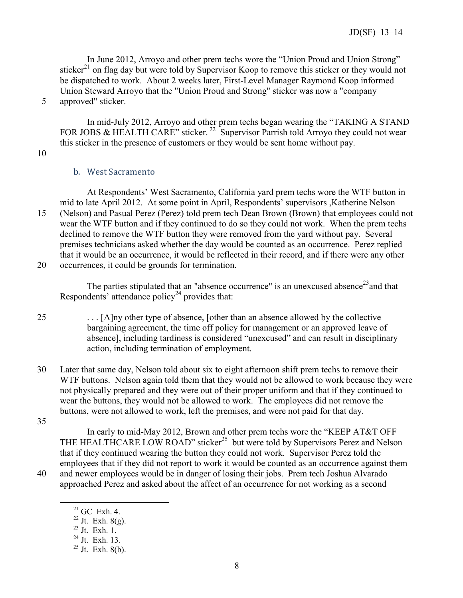In June 2012, Arroyo and other prem techs wore the "Union Proud and Union Strong" sticker<sup>[21](#page-10-1)</sup> on flag day but were told by Supervisor Koop to remove this sticker or they would not be dispatched to work. About 2 weeks later, First-Level Manager Raymond Koop informed Union Steward Arroyo that the "Union Proud and Strong" sticker was now a "company 5 approved" sticker.

In mid-July 2012, Arroyo and other prem techs began wearing the "TAKING A STAND FOR JOBS & HEALTH CARE" sticker.<sup>[22](#page-10-2)</sup> Supervisor Parrish told Arroyo they could not wear this sticker in the presence of customers or they would be sent home without pay.

<span id="page-10-0"></span>10

### b. West Sacramento

At Respondents' West Sacramento, California yard prem techs wore the WTF button in mid to late April 2012. At some point in April, Respondents' supervisors ,Katherine Nelson 15 (Nelson) and Pasual Perez (Perez) told prem tech Dean Brown (Brown) that employees could not wear the WTF button and if they continued to do so they could not work. When the prem techs declined to remove the WTF button they were removed from the yard without pay. Several premises technicians asked whether the day would be counted as an occurrence. Perez replied that it would be an occurrence, it would be reflected in their record, and if there were any other 20 occurrences, it could be grounds for termination.

The parties stipulated that an "absence occurrence" is an unexcused absence<sup>[23](#page-10-3)</sup> and that Respondents' attendance policy<sup>[24](#page-10-4)</sup> provides that:

- 25 . . . [A]ny other type of absence, [other than an absence allowed by the collective bargaining agreement, the time off policy for management or an approved leave of absence], including tardiness is considered "unexcused" and can result in disciplinary action, including termination of employment.
- 30 Later that same day, Nelson told about six to eight afternoon shift prem techs to remove their WTF buttons. Nelson again told them that they would not be allowed to work because they were not physically prepared and they were out of their proper uniform and that if they continued to wear the buttons, they would not be allowed to work. The employees did not remove the buttons, were not allowed to work, left the premises, and were not paid for that day.
- 35

<span id="page-10-4"></span><span id="page-10-3"></span><span id="page-10-2"></span><span id="page-10-1"></span> $\overline{a}$ 

In early to mid-May 2012, Brown and other prem techs wore the "KEEP AT&T OFF THE HEALTHCARE LOW ROAD" sticker<sup>[25](#page-10-5)</sup> but were told by Supervisors Perez and Nelson that if they continued wearing the button they could not work. Supervisor Perez told the employees that if they did not report to work it would be counted as an occurrence against them 40 and newer employees would be in danger of losing their jobs. Prem tech Joshua Alvarado approached Perez and asked about the affect of an occurrence for not working as a second

 $21$  GC Exh. 4.

 $22 \text{ Jt.}$  Exh. 8(g).

 $^{23}$  Jt. Exh. 1.

 $^{24}$  Jt. Exh. 13.

<span id="page-10-5"></span> $25$  Jt. Exh. 8(b).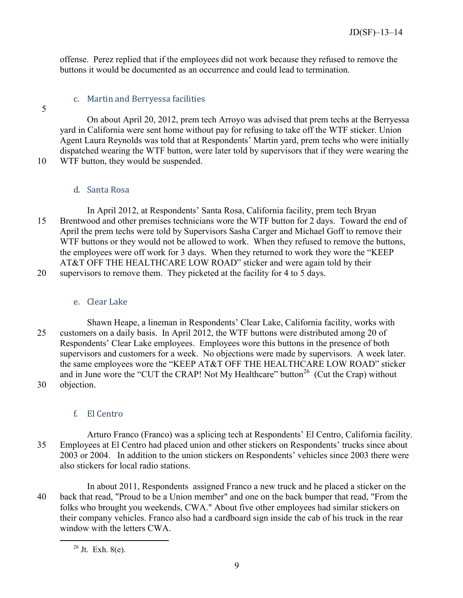offense. Perez replied that if the employees did not work because they refused to remove the buttons it would be documented as an occurrence and could lead to termination.

# c. Martin and Berryessa facilities

<span id="page-11-0"></span>5

On about April 20, 2012, prem tech Arroyo was advised that prem techs at the Berryessa yard in California were sent home without pay for refusing to take off the WTF sticker. Union Agent Laura Reynolds was told that at Respondents' Martin yard, prem techs who were initially dispatched wearing the WTF button, were later told by supervisors that if they were wearing the

10 WTF button, they would be suspended.

# d. Santa Rosa

<span id="page-11-1"></span>In April 2012, at Respondents' Santa Rosa, California facility, prem tech Bryan 15 Brentwood and other premises technicians wore the WTF button for 2 days. Toward the end of April the prem techs were told by Supervisors Sasha Carger and Michael Goff to remove their WTF buttons or they would not be allowed to work. When they refused to remove the buttons, the employees were off work for 3 days. When they returned to work they wore the "KEEP AT&T OFF THE HEALTHCARE LOW ROAD" sticker and were again told by their 20 supervisors to remove them. They picketed at the facility for 4 to 5 days.

# e. Clear Lake

<span id="page-11-2"></span>Shawn Heape, a lineman in Respondents' Clear Lake, California facility, works with 25 customers on a daily basis. In April 2012, the WTF buttons were distributed among 20 of Respondents' Clear Lake employees. Employees wore this buttons in the presence of both supervisors and customers for a week. No objections were made by supervisors. A week later. the same employees wore the "KEEP AT&T OFF THE HEALTHCARE LOW ROAD" sticker and in June wore the "CUT the CRAP! Not My Healthcare" button<sup>[26](#page-11-4)</sup> (Cut the Crap) without 30 objection.

f. El Centro

also stickers for local radio stations.

# <span id="page-11-3"></span>Arturo Franco (Franco) was a splicing tech at Respondents' El Centro, California facility. 35 Employees at El Centro had placed union and other stickers on Respondents' trucks since about 2003 or 2004. In addition to the union stickers on Respondents' vehicles since 2003 there were

In about 2011, Respondents assigned Franco a new truck and he placed a sticker on the 40 back that read, "Proud to be a Union member" and one on the back bumper that read, "From the folks who brought you weekends, CWA." About five other employees had similar stickers on their company vehicles. Franco also had a cardboard sign inside the cab of his truck in the rear window with the letters CWA.

<span id="page-11-4"></span><sup>26</sup> Jt. Exh. 8(e).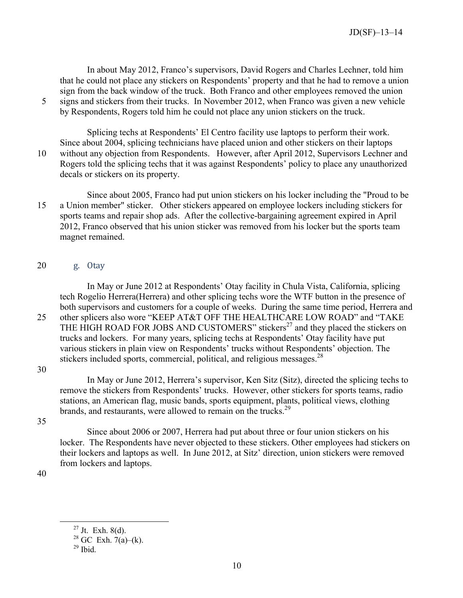In about May 2012, Franco's supervisors, David Rogers and Charles Lechner, told him that he could not place any stickers on Respondents' property and that he had to remove a union sign from the back window of the truck. Both Franco and other employees removed the union 5 signs and stickers from their trucks. In November 2012, when Franco was given a new vehicle by Respondents, Rogers told him he could not place any union stickers on the truck.

Splicing techs at Respondents' El Centro facility use laptops to perform their work. Since about 2004, splicing technicians have placed union and other stickers on their laptops 10 without any objection from Respondents. However, after April 2012, Supervisors Lechner and Rogers told the splicing techs that it was against Respondents' policy to place any unauthorized decals or stickers on its property.

Since about 2005, Franco had put union stickers on his locker including the "Proud to be 15 a Union member" sticker. Other stickers appeared on employee lockers including stickers for sports teams and repair shop ads. After the collective-bargaining agreement expired in April 2012, Franco observed that his union sticker was removed from his locker but the sports team magnet remained.

### <span id="page-12-0"></span>20 g. Otay

In May or June 2012 at Respondents' Otay facility in Chula Vista, California, splicing tech Rogelio Herrera(Herrera) and other splicing techs wore the WTF button in the presence of both supervisors and customers for a couple of weeks. During the same time period, Herrera and 25 other splicers also wore "KEEP AT&T OFF THE HEALTHCARE LOW ROAD" and "TAKE THE HIGH ROAD FOR JOBS AND CUSTOMERS" stickers<sup>[27](#page-12-1)</sup> and they placed the stickers on trucks and lockers. For many years, splicing techs at Respondents' Otay facility have put various stickers in plain view on Respondents' trucks without Respondents' objection. The stickers included sports, commercial, political, and religious messages.<sup>[28](#page-12-2)</sup>

30

In May or June 2012, Herrera's supervisor, Ken Sitz (Sitz), directed the splicing techs to remove the stickers from Respondents' trucks. However, other stickers for sports teams, radio stations, an American flag, music bands, sports equipment, plants, political views, clothing brands, and restaurants, were allowed to remain on the trucks.<sup>[29](#page-12-3)</sup>

35

Since about 2006 or 2007, Herrera had put about three or four union stickers on his locker. The Respondents have never objected to these stickers. Other employees had stickers on their lockers and laptops as well. In June 2012, at Sitz' direction, union stickers were removed from lockers and laptops.

<span id="page-12-1"></span>40

<span id="page-12-2"></span> $27$  Jt. Exh. 8(d).

 $28$  GC Exh.  $7(a)$ –(k).

<span id="page-12-3"></span> $29$  Ibid.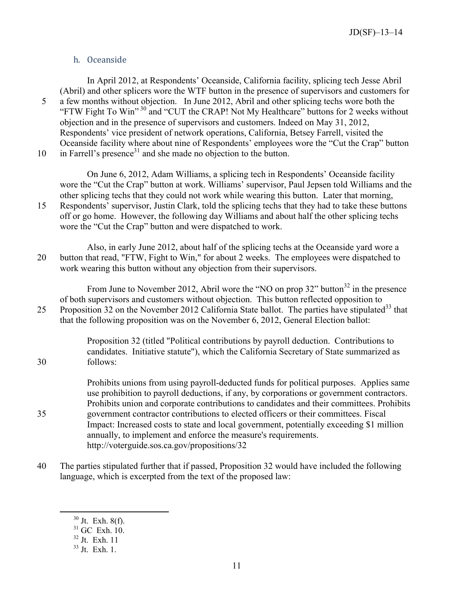# h. Oceanside

<span id="page-13-0"></span>In April 2012, at Respondents' Oceanside, California facility, splicing tech Jesse Abril (Abril) and other splicers wore the WTF button in the presence of supervisors and customers for 5 a few months without objection. In June 2012, Abril and other splicing techs wore both the "FTW Fight To Win"<sup>[30](#page-13-1)</sup> and "CUT the CRAP! Not My Healthcare" buttons for 2 weeks without objection and in the presence of supervisors and customers. Indeed on May 31, 2012, Respondents' vice president of network operations, California, Betsey Farrell, visited the Oceanside facility where about nine of Respondents' employees wore the "Cut the Crap" button 10 in Farrell's presence<sup>[31](#page-13-2)</sup> and she made no objection to the button.

On June 6, 2012, Adam Williams, a splicing tech in Respondents' Oceanside facility wore the "Cut the Crap" button at work. Williams' supervisor, Paul Jepsen told Williams and the other splicing techs that they could not work while wearing this button. Later that morning, 15 Respondents' supervisor, Justin Clark, told the splicing techs that they had to take these buttons off or go home. However, the following day Williams and about half the other splicing techs

wore the "Cut the Crap" button and were dispatched to work.

Also, in early June 2012, about half of the splicing techs at the Oceanside yard wore a 20 button that read, "FTW, Fight to Win," for about 2 weeks. The employees were dispatched to work wearing this button without any objection from their supervisors.

From June to November 2012, Abril wore the "NO on prop  $32$ " button<sup>32</sup> in the presence of both supervisors and customers without objection. This button reflected opposition to 25 Proposition 32 on the November 2012 California State ballot. The parties have stipulated<sup>[33](#page-13-4)</sup> that that the following proposition was on the November 6, 2012, General Election ballot:

Proposition 32 (titled "Political contributions by payroll deduction. Contributions to candidates. Initiative statute"), which the California Secretary of State summarized as 30 follows:

Prohibits unions from using payroll-deducted funds for political purposes. Applies same use prohibition to payroll deductions, if any, by corporations or government contractors. Prohibits union and corporate contributions to candidates and their committees. Prohibits 35 government contractor contributions to elected officers or their committees. Fiscal Impact: Increased costs to state and local government, potentially exceeding \$1 million annually, to implement and enforce the measure's requirements. http://voterguide.sos.ca.gov/propositions/32

<span id="page-13-1"></span>40 The parties stipulated further that if passed, Proposition 32 would have included the following language, which is excerpted from the text of the proposed law:

<span id="page-13-2"></span> $30$  Jt. Exh. 8(f).

 $31$  GC Exh. 10.

<span id="page-13-4"></span><span id="page-13-3"></span> $32$  Jt. Exh. 11

<sup>33</sup> Jt. Exh. 1.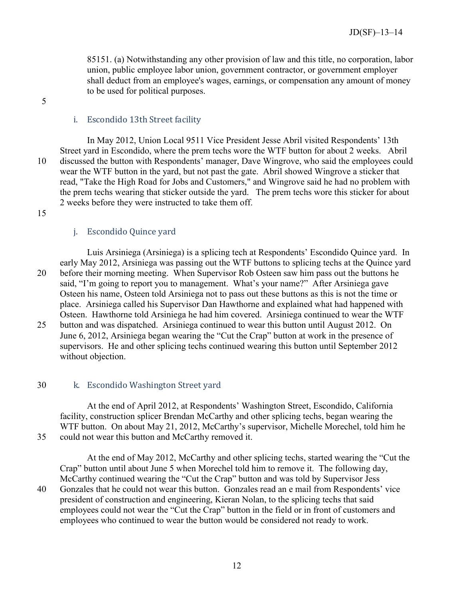85151. (a) Notwithstanding any other provision of law and this title, no corporation, labor union, public employee labor union, government contractor, or government employer shall deduct from an employee's wages, earnings, or compensation any amount of money to be used for political purposes.

#### 5

# i. Escondido 13th Street facility

<span id="page-14-0"></span>In May 2012, Union Local 9511 Vice President Jesse Abril visited Respondents' 13th Street yard in Escondido, where the prem techs wore the WTF button for about 2 weeks. Abril 10 discussed the button with Respondents' manager, Dave Wingrove, who said the employees could wear the WTF button in the yard, but not past the gate. Abril showed Wingrove a sticker that read, "Take the High Road for Jobs and Customers," and Wingrove said he had no problem with the prem techs wearing that sticker outside the yard. The prem techs wore this sticker for about 2 weeks before they were instructed to take them off.

<span id="page-14-1"></span>15

#### j. Escondido Quince yard

Luis Arsiniega (Arsiniega) is a splicing tech at Respondents' Escondido Quince yard. In early May 2012, Arsiniega was passing out the WTF buttons to splicing techs at the Quince yard 20 before their morning meeting. When Supervisor Rob Osteen saw him pass out the buttons he said, "I'm going to report you to management. What's your name?" After Arsiniega gave Osteen his name, Osteen told Arsiniega not to pass out these buttons as this is not the time or place. Arsiniega called his Supervisor Dan Hawthorne and explained what had happened with Osteen. Hawthorne told Arsiniega he had him covered. Arsiniega continued to wear the WTF 25 button and was dispatched. Arsiniega continued to wear this button until August 2012. On June 6, 2012, Arsiniega began wearing the "Cut the Crap" button at work in the presence of supervisors. He and other splicing techs continued wearing this button until September 2012 without objection.

#### <span id="page-14-2"></span>30 k. Escondido Washington Street yard

At the end of April 2012, at Respondents' Washington Street, Escondido, California facility, construction splicer Brendan McCarthy and other splicing techs, began wearing the WTF button. On about May 21, 2012, McCarthy's supervisor, Michelle Morechel, told him he 35 could not wear this button and McCarthy removed it.

At the end of May 2012, McCarthy and other splicing techs, started wearing the "Cut the Crap" button until about June 5 when Morechel told him to remove it. The following day, McCarthy continued wearing the "Cut the Crap" button and was told by Supervisor Jess 40 Gonzales that he could not wear this button. Gonzales read an e mail from Respondents' vice president of construction and engineering, Kieran Nolan, to the splicing techs that said employees could not wear the "Cut the Crap" button in the field or in front of customers and employees who continued to wear the button would be considered not ready to work.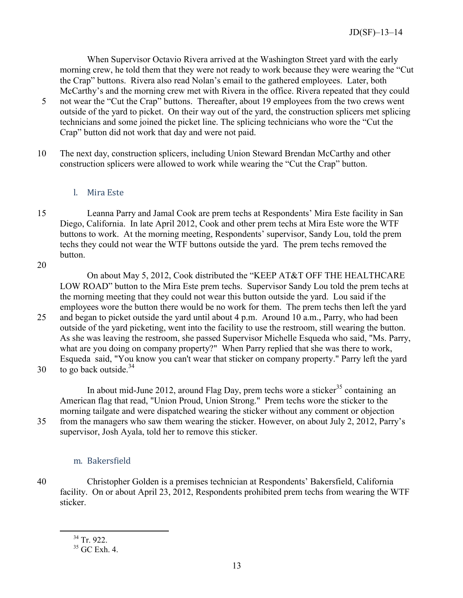When Supervisor Octavio Rivera arrived at the Washington Street yard with the early morning crew, he told them that they were not ready to work because they were wearing the "Cut the Crap" buttons. Rivera also read Nolan's email to the gathered employees. Later, both McCarthy's and the morning crew met with Rivera in the office. Rivera repeated that they could

- 5 not wear the "Cut the Crap" buttons. Thereafter, about 19 employees from the two crews went outside of the yard to picket. On their way out of the yard, the construction splicers met splicing technicians and some joined the picket line. The splicing technicians who wore the "Cut the Crap" button did not work that day and were not paid.
- 10 The next day, construction splicers, including Union Steward Brendan McCarthy and other construction splicers were allowed to work while wearing the "Cut the Crap" button.

# l. Mira Este

- <span id="page-15-0"></span>15 Leanna Parry and Jamal Cook are prem techs at Respondents' Mira Este facility in San Diego, California. In late April 2012, Cook and other prem techs at Mira Este wore the WTF buttons to work. At the morning meeting, Respondents' supervisor, Sandy Lou, told the prem techs they could not wear the WTF buttons outside the yard. The prem techs removed the button.
- 20

On about May 5, 2012, Cook distributed the "KEEP AT&T OFF THE HEALTHCARE LOW ROAD" button to the Mira Este prem techs. Supervisor Sandy Lou told the prem techs at the morning meeting that they could not wear this button outside the yard. Lou said if the employees wore the button there would be no work for them. The prem techs then left the yard 25 and began to picket outside the yard until about 4 p.m. Around 10 a.m., Parry, who had been outside of the yard picketing, went into the facility to use the restroom, still wearing the button. As she was leaving the restroom, she passed Supervisor Michelle Esqueda who said, "Ms. Parry, what are you doing on company property?" When Parry replied that she was there to work, Esqueda said, "You know you can't wear that sticker on company property." Parry left the yard

30 to go back outside.<sup>[34](#page-15-2)</sup>

In about mid-June 2012, around Flag Day, prem techs wore a sticker<sup>[35](#page-15-3)</sup> containing an American flag that read, "Union Proud, Union Strong." Prem techs wore the sticker to the morning tailgate and were dispatched wearing the sticker without any comment or objection 35 from the managers who saw them wearing the sticker. However, on about July 2, 2012, Parry's supervisor, Josh Ayala, told her to remove this sticker.

### m. Bakersfield

<span id="page-15-2"></span><span id="page-15-1"></span>40 Christopher Golden is a premises technician at Respondents' Bakersfield, California facility. On or about April 23, 2012, Respondents prohibited prem techs from wearing the WTF sticker.

<sup>34</sup> Tr. 922.

<span id="page-15-3"></span> $35$  GC Exh. 4.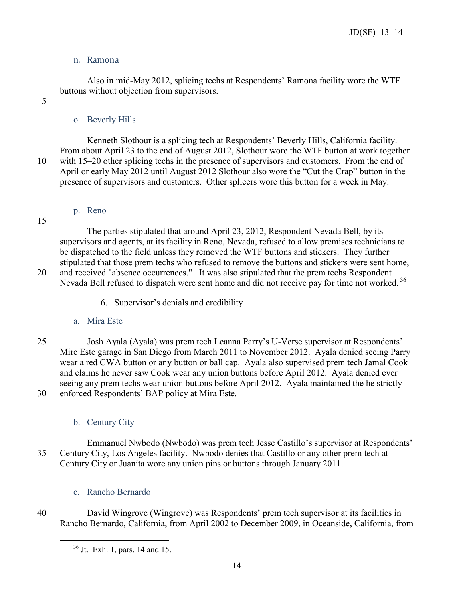# n. Ramona

Also in mid-May 2012, splicing techs at Respondents' Ramona facility wore the WTF buttons without objection from supervisors.

Kenneth Slothour is a splicing tech at Respondents' Beverly Hills, California facility.

<span id="page-16-1"></span><span id="page-16-0"></span>5

# o. Beverly Hills

From about April 23 to the end of August 2012, Slothour wore the WTF button at work together 10 with 15–20 other splicing techs in the presence of supervisors and customers. From the end of April or early May 2012 until August 2012 Slothour also wore the "Cut the Crap" button in the

p. Reno

<span id="page-16-2"></span>15

The parties stipulated that around April 23, 2012, Respondent Nevada Bell, by its supervisors and agents, at its facility in Reno, Nevada, refused to allow premises technicians to be dispatched to the field unless they removed the WTF buttons and stickers. They further stipulated that those prem techs who refused to remove the buttons and stickers were sent home, 20 and received "absence occurrences." It was also stipulated that the prem techs Respondent Nevada Bell refused to dispatch were sent home and did not receive pay for time not worked.<sup>[36](#page-16-7)</sup>

presence of supervisors and customers. Other splicers wore this button for a week in May.

6. Supervisor's denials and credibility

# a. Mira Este

<span id="page-16-4"></span><span id="page-16-3"></span>25 Josh Ayala (Ayala) was prem tech Leanna Parry's U-Verse supervisor at Respondents' Mire Este garage in San Diego from March 2011 to November 2012. Ayala denied seeing Parry wear a red CWA button or any button or ball cap. Ayala also supervised prem tech Jamal Cook and claims he never saw Cook wear any union buttons before April 2012. Ayala denied ever seeing any prem techs wear union buttons before April 2012. Ayala maintained the he strictly 30 enforced Respondents' BAP policy at Mira Este.

b. Century City

<span id="page-16-5"></span>Emmanuel Nwbodo (Nwbodo) was prem tech Jesse Castillo's supervisor at Respondents' 35 Century City, Los Angeles facility. Nwbodo denies that Castillo or any other prem tech at Century City or Juanita wore any union pins or buttons through January 2011.

c. Rancho Bernardo

 $\overline{a}$ 

<span id="page-16-7"></span><span id="page-16-6"></span>40 David Wingrove (Wingrove) was Respondents' prem tech supervisor at its facilities in Rancho Bernardo, California, from April 2002 to December 2009, in Oceanside, California, from

<sup>36</sup> Jt. Exh. 1, pars. 14 and 15.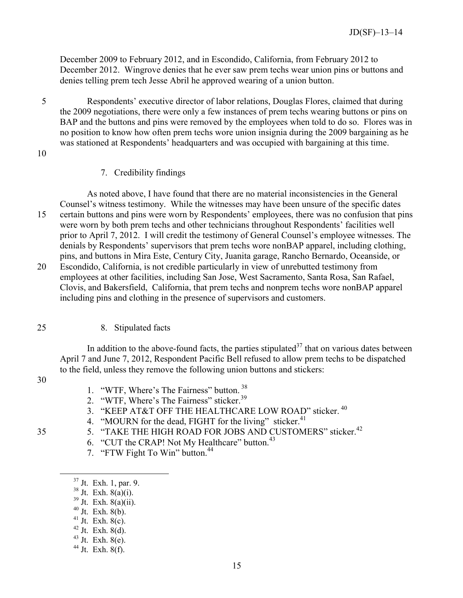December 2009 to February 2012, and in Escondido, California, from February 2012 to December 2012. Wingrove denies that he ever saw prem techs wear union pins or buttons and denies telling prem tech Jesse Abril he approved wearing of a union button.

- 5 Respondents' executive director of labor relations, Douglas Flores, claimed that during the 2009 negotiations, there were only a few instances of prem techs wearing buttons or pins on BAP and the buttons and pins were removed by the employees when told to do so. Flores was in no position to know how often prem techs wore union insignia during the 2009 bargaining as he was stationed at Respondents' headquarters and was occupied with bargaining at this time.
- <span id="page-17-0"></span>10

### 7. Credibility findings

As noted above, I have found that there are no material inconsistencies in the General Counsel's witness testimony. While the witnesses may have been unsure of the specific dates 15 certain buttons and pins were worn by Respondents' employees, there was no confusion that pins were worn by both prem techs and other technicians throughout Respondents' facilities well prior to April 7, 2012. I will credit the testimony of General Counsel's employee witnesses. The denials by Respondents' supervisors that prem techs wore nonBAP apparel, including clothing, pins, and buttons in Mira Este, Century City, Juanita garage, Rancho Bernardo, Oceanside, or

20 Escondido, California, is not credible particularly in view of unrebutted testimony from employees at other facilities, including San Jose, West Sacramento, Santa Rosa, San Rafael, Clovis, and Bakersfield, California, that prem techs and nonprem techs wore nonBAP apparel including pins and clothing in the presence of supervisors and customers.

### <span id="page-17-1"></span>25 8. Stipulated facts

In addition to the above-found facts, the parties stipulated<sup>[37](#page-17-2)</sup> that on various dates between April 7 and June 7, 2012, Respondent Pacific Bell refused to allow prem techs to be dispatched to the field, unless they remove the following union buttons and stickers:

30

- 1. "WTF, Where's The Fairness" button. [38](#page-17-3)
- 2. "WTF, Where's The Fairness" sticker.<sup>[39](#page-17-4)</sup>
- 3. "KEEP AT&T OFF THE HEALTHCARE LOW ROAD" sticker. [40](#page-17-5)
- 4. "MOURN for the dead, FIGHT for the living" sticker.<sup>[41](#page-17-6)</sup>
- <span id="page-17-9"></span><span id="page-17-8"></span><span id="page-17-7"></span><span id="page-17-6"></span><span id="page-17-5"></span><span id="page-17-4"></span><span id="page-17-3"></span><span id="page-17-2"></span>5. "TAKE THE HIGH ROAD FOR JOBS AND CUSTOMERS" sticker.<sup>[42](#page-17-7)</sup>
	- 6. "CUT the CRAP! Not My Healthcare" button.<sup>[43](#page-17-8)</sup>
	- 7. "FTW Fight To Win" button.<sup>[44](#page-17-9)</sup>
	- <sup>37</sup> Jt. Exh. 1, par. 9.
	- $38$  Jt. Exh.  $8(a)(i)$ .
	- $39$  Jt. Exh.  $8(a)(ii)$ .
	- $40$  Jt. Exh.  $8(b)$ .
	- $41$  Jt. Exh. 8(c).
	- $42$  Jt. Exh. 8(d).
	- $43$  Jt. Exh.  $8(e)$ .
	- $44$  Jt. Exh. 8(f).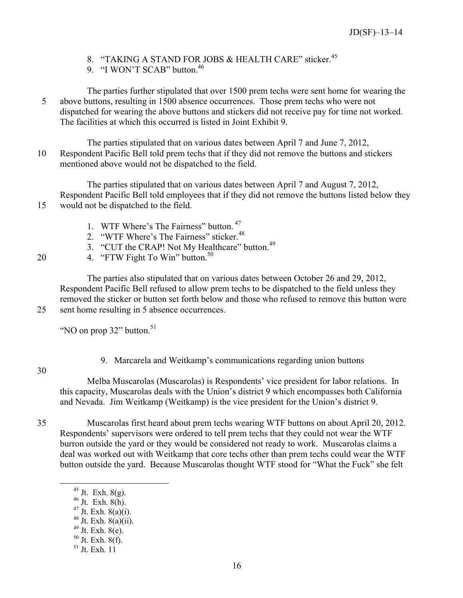- 8. "TAKING A STAND FOR JOBS & HEALTH CARE" sticker.<sup>[45](#page-18-1)</sup>
- 9. "I WON'T SCAB" button.<sup>[46](#page-18-2)</sup>
- The parties further stipulated that over 1500 prem techs were sent home for wearing the 5 above buttons, resulting in 1500 absence occurrences. Those prem techs who were not dispatched for wearing the above buttons and stickers did not receive pay for time not worked. The facilities at which this occurred is listed in Joint Exhibit 9.
- The parties stipulated that on various dates between April 7 and June 7, 2012, 10 Respondent Pacific Bell told prem techs that if they did not remove the buttons and stickers mentioned above would not be dispatched to the field.

The parties stipulated that on various dates between April 7 and August 7, 2012, Respondent Pacific Bell told employees that if they did not remove the buttons listed below they 15 would not be dispatched to the field.

- 1. WTF Where's The Fairness" button. [47](#page-18-3)
- 2. "WTF Where's The Fairness" sticker.<sup>[48](#page-18-4)</sup>
- 3. "CUT the CRAP! Not My Healthcare" button.<sup>[49](#page-18-5)</sup>
- 20  $\mu$ . "FTW Fight To Win" button.<sup>[50](#page-18-6)</sup>

The parties also stipulated that on various dates between October 26 and 29, 2012, Respondent Pacific Bell refused to allow prem techs to be dispatched to the field unless they removed the sticker or button set forth below and those who refused to remove this button were 25 sent home resulting in 5 absence occurrences.

"NO on prop  $32$ " button.<sup>[51](#page-18-7)</sup>

<span id="page-18-0"></span>30

<span id="page-18-7"></span><span id="page-18-6"></span><span id="page-18-5"></span><span id="page-18-4"></span><span id="page-18-3"></span><span id="page-18-2"></span><span id="page-18-1"></span> $\overline{a}$ 

9. Marcarela and Weitkamp's communications regarding union buttons

Melba Muscarolas (Muscarolas) is Respondents' vice president for labor relations. In this capacity, Muscarolas deals with the Union's district 9 which encompasses both California and Nevada. Jim Weitkamp (Weitkamp) is the vice president for the Union's district 9.

- 35 Muscarolas first heard about prem techs wearing WTF buttons on about April 20, 2012. Respondents' supervisors were ordered to tell prem techs that they could not wear the WTF burron outside the yard or they would be considered not ready to work. Muscarolas claims a deal was worked out with Weitkamp that core techs other than prem techs could wear the WTF button outside the yard. Because Muscarolas thought WTF stood for "What the Fuck" she felt
	- $^{45}$  Jt. Exh.  $8(g)$ .
	- $46$  Jt. Exh.  $8(h)$ .
	- $47 \text{ Jt.}$  Exh.  $8(a)(i)$ .
	- <sup>48</sup> Jt. Exh. 8(a)(ii).
	- $49$  Jt. Exh. 8(e).
	- $50$  Jt. Exh.  $8(f)$ .
	- <sup>51</sup> Jt. Exh. 11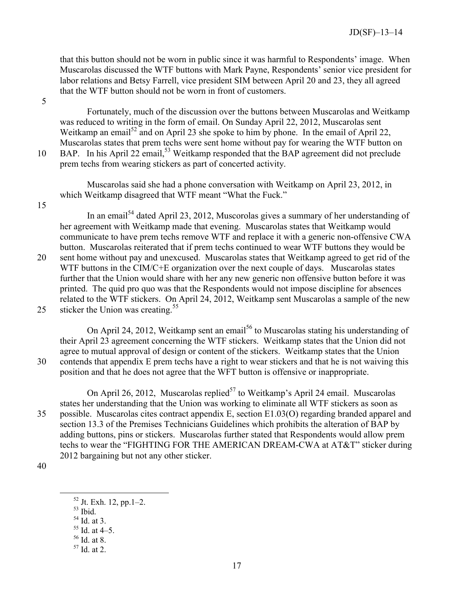that this button should not be worn in public since it was harmful to Respondents' image. When Muscarolas discussed the WTF buttons with Mark Payne, Respondents' senior vice president for labor relations and Betsy Farrell, vice president SIM between April 20 and 23, they all agreed that the WTF button should not be worn in front of customers.

5

Fortunately, much of the discussion over the buttons between Muscarolas and Weitkamp was reduced to writing in the form of email. On Sunday April 22, 2012, Muscarolas sent Weitkamp an email<sup>[52](#page-19-0)</sup> and on April 23 she spoke to him by phone. In the email of April 22, Muscarolas states that prem techs were sent home without pay for wearing the WTF button on 10 BAP. In his April 22 email,<sup>[53](#page-19-1)</sup> Weitkamp responded that the BAP agreement did not preclude prem techs from wearing stickers as part of concerted activity.

Muscarolas said she had a phone conversation with Weitkamp on April 23, 2012, in which Weitkamp disagreed that WTF meant "What the Fuck."

15

In an email<sup>[54](#page-19-2)</sup> dated April 23, 2012, Muscorolas gives a summary of her understanding of her agreement with Weitkamp made that evening. Muscarolas states that Weitkamp would communicate to have prem techs remove WTF and replace it with a generic non-offensive CWA button. Muscarolas reiterated that if prem techs continued to wear WTF buttons they would be 20 sent home without pay and unexcused. Muscarolas states that Weitkamp agreed to get rid of the

WTF buttons in the CIM/C+E organization over the next couple of days. Muscarolas states further that the Union would share with her any new generic non offensive button before it was printed. The quid pro quo was that the Respondents would not impose discipline for absences related to the WTF stickers. On April 24, 2012, Weitkamp sent Muscarolas a sample of the new 25 sticker the Union was creating.<sup>[55](#page-19-3)</sup>

On April 24, 2012, Weitkamp sent an email<sup>[56](#page-19-4)</sup> to Muscarolas stating his understanding of their April 23 agreement concerning the WTF stickers. Weitkamp states that the Union did not agree to mutual approval of design or content of the stickers. Weitkamp states that the Union 30 contends that appendix E prem techs have a right to wear stickers and that he is not waiving this position and that he does not agree that the WFT button is offensive or inappropriate.

On April 26, 2012, Muscarolas replied<sup>[57](#page-19-5)</sup> to Weitkamp's April 24 email. Muscarolas states her understanding that the Union was working to eliminate all WTF stickers as soon as 35 possible. Muscarolas cites contract appendix E, section E1.03(O) regarding branded apparel and section 13.3 of the Premises Technicians Guidelines which prohibits the alteration of BAP by adding buttons, pins or stickers. Muscarolas further stated that Respondents would allow prem techs to wear the "FIGHTING FOR THE AMERICAN DREAM-CWA at AT&T" sticker during 2012 bargaining but not any other sticker.

<span id="page-19-3"></span><span id="page-19-2"></span><span id="page-19-1"></span><span id="page-19-0"></span>40

- $53$  Ibid.
- $54$  Id. at 3.
- $55$  Id. at 4–5.

 $52$  Jt. Exh. 12, pp. 1–2.

<span id="page-19-4"></span><sup>56</sup> Id. at 8.

<span id="page-19-5"></span><sup>57</sup> Id. at 2.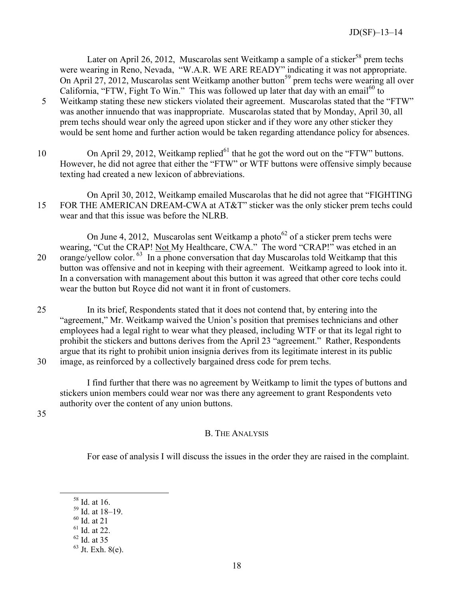Later on April 26, 2012, Muscarolas sent Weitkamp a sample of a sticker<sup>[58](#page-20-1)</sup> prem techs were wearing in Reno, Nevada, "W.A.R. WE ARE READY" indicating it was not appropriate. On April 27, 2012, Muscarolas sent Weitkamp another button<sup>[59](#page-20-2)</sup> prem techs were wearing all over California, "FTW, Fight To Win." This was followed up later that day with an email<sup>[60](#page-20-3)</sup> to

- 5 Weitkamp stating these new stickers violated their agreement. Muscarolas stated that the "FTW" was another innuendo that was inappropriate. Muscarolas stated that by Monday, April 30, all prem techs should wear only the agreed upon sticker and if they wore any other sticker they would be sent home and further action would be taken regarding attendance policy for absences.
- 10 On April 29, 2012, Weitkamp replied $^{61}$  $^{61}$  $^{61}$  that he got the word out on the "FTW" buttons. However, he did not agree that either the "FTW" or WTF buttons were offensive simply because texting had created a new lexicon of abbreviations.
- On April 30, 2012, Weitkamp emailed Muscarolas that he did not agree that "FIGHTING 15 FOR THE AMERICAN DREAM-CWA at AT&T" sticker was the only sticker prem techs could wear and that this issue was before the NLRB.

On June 4, 2012, Muscarolas sent Weitkamp a photo $^{62}$  $^{62}$  $^{62}$  of a sticker prem techs were wearing, "Cut the CRAP! Not My Healthcare, CWA." The word "CRAP!" was etched in an 20 orange/yellow color.  $^{63}$  $^{63}$  $^{63}$  In a phone conversation that day Muscarolas told Weitkamp that this button was offensive and not in keeping with their agreement. Weitkamp agreed to look into it. In a conversation with management about this button it was agreed that other core techs could wear the button but Royce did not want it in front of customers.

25 In its brief, Respondents stated that it does not contend that, by entering into the "agreement," Mr. Weitkamp waived the Union's position that premises technicians and other employees had a legal right to wear what they pleased, including WTF or that its legal right to prohibit the stickers and buttons derives from the April 23 "agreement." Rather, Respondents argue that its right to prohibit union insignia derives from its legitimate interest in its public 30 image, as reinforced by a collectively bargained dress code for prem techs.

I find further that there was no agreement by Weitkamp to limit the types of buttons and stickers union members could wear nor was there any agreement to grant Respondents veto authority over the content of any union buttons.

<span id="page-20-0"></span>35

# B. THE ANALYSIS

For ease of analysis I will discuss the issues in the order they are raised in the complaint.

<span id="page-20-4"></span><span id="page-20-3"></span> $60$  Id. at 21

- <span id="page-20-5"></span> $61$  Id. at 22.
- <sup>62</sup> Id. at 35

<span id="page-20-1"></span><sup>58</sup> Id. at 16.

<span id="page-20-2"></span> $59$  Id. at  $18-19$ .

<span id="page-20-6"></span> $63$  Jt. Exh. 8(e).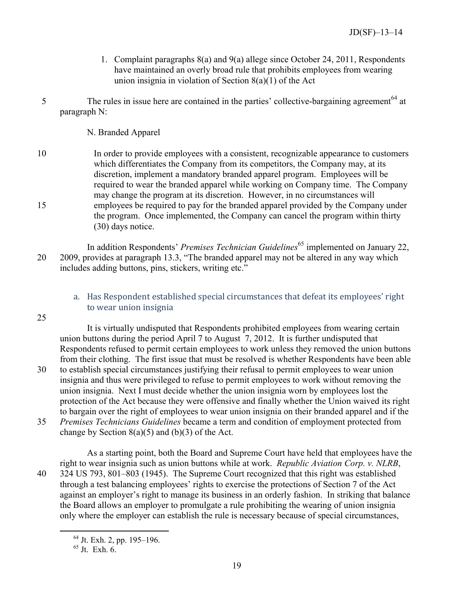- 1. Complaint paragraphs 8(a) and 9(a) allege since October 24, 2011, Respondents have maintained an overly broad rule that prohibits employees from wearing union insignia in violation of Section 8(a)(1) of the Act
- <span id="page-21-0"></span>The rules in issue here are contained in the parties' collective-bargaining agreement<sup>[64](#page-21-2)</sup> at paragraph N:

N. Branded Apparel

- 10 In order to provide employees with a consistent, recognizable appearance to customers which differentiates the Company from its competitors, the Company may, at its discretion, implement a mandatory branded apparel program. Employees will be required to wear the branded apparel while working on Company time. The Company may change the program at its discretion. However, in no circumstances will 15 employees be required to pay for the branded apparel provided by the Company under the program. Once implemented, the Company can cancel the program within thirty (30) days notice.
- In addition Respondents' *Premises Technician Guidelines*<sup>[65](#page-21-3)</sup> implemented on January 22, 20 2009, provides at paragraph 13.3, "The branded apparel may not be altered in any way which includes adding buttons, pins, stickers, writing etc."

# a. Has Respondent established special circumstances that defeat its employees' right to wear union insignia

<span id="page-21-1"></span>25

It is virtually undisputed that Respondents prohibited employees from wearing certain union buttons during the period April 7 to August 7, 2012. It is further undisputed that Respondents refused to permit certain employees to work unless they removed the union buttons from their clothing. The first issue that must be resolved is whether Respondents have been able 30 to establish special circumstances justifying their refusal to permit employees to wear union insignia and thus were privileged to refuse to permit employees to work without removing the union insignia. Next I must decide whether the union insignia worn by employees lost the protection of the Act because they were offensive and finally whether the Union waived its right to bargain over the right of employees to wear union insignia on their branded apparel and if the

35 *Premises Technicians Guidelines* became a term and condition of employment protected from change by Section  $8(a)(5)$  and  $(b)(3)$  of the Act.

<span id="page-21-3"></span><span id="page-21-2"></span> $\overline{a}$ 

As a starting point, both the Board and Supreme Court have held that employees have the right to wear insignia such as union buttons while at work. *Republic Aviation Corp. v. NLRB*, 40 324 US 793, 801–803 (1945). The Supreme Court recognized that this right was established through a test balancing employees' rights to exercise the protections of Section 7 of the Act against an employer's right to manage its business in an orderly fashion. In striking that balance the Board allows an employer to promulgate a rule prohibiting the wearing of union insignia only where the employer can establish the rule is necessary because of special circumstances,

<sup>64</sup> Jt. Exh. 2, pp. 195–196.

 $65$  Jt. Exh.  $6.$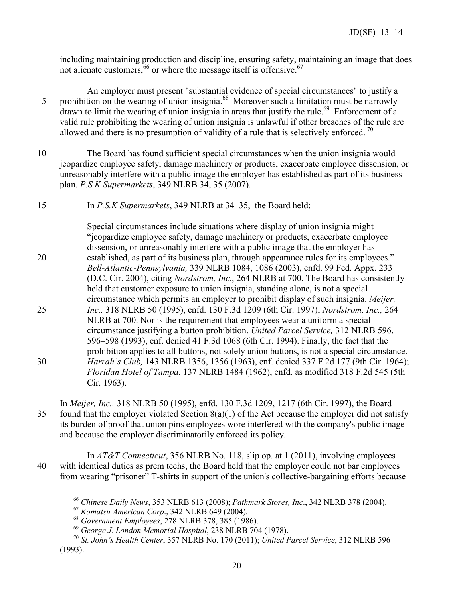including maintaining production and discipline, ensuring safety, maintaining an image that does not alienate customers,  $66$  or where the message itself is offensive.  $67$ 

- An employer must present "substantial evidence of special circumstances" to justify a prohibition on the wearing of union insignia.<sup>[68](#page-22-2)</sup> Moreover such a limitation must be narrowly drawn to limit the wearing of union insignia in areas that justify the rule.<sup>[69](#page-22-3)</sup> Enforcement of a valid rule prohibiting the wearing of union insignia is unlawful if other breaches of the rule are allowed and there is no presumption of validity of a rule that is selectively enforced.<sup>[70](#page-22-4)</sup>
- 10 The Board has found sufficient special circumstances when the union insignia would jeopardize employee safety, damage machinery or products, exacerbate employee dissension, or unreasonably interfere with a public image the employer has established as part of its business plan. *P.S.K Supermarkets*, 349 NLRB 34, 35 (2007).
- 15 In *P.S.K Supermarkets*, 349 NLRB at 34–35, the Board held:

Special circumstances include situations where display of union insignia might "jeopardize employee safety, damage machinery or products, exacerbate employee dissension, or unreasonably interfere with a public image that the employer has 20 established, as part of its business plan, through appearance rules for its employees." *Bell-Atlantic-Pennsylvania,* 339 NLRB 1084, 1086 (2003), enfd. 99 Fed. Appx. 233 (D.C. Cir. 2004), citing *Nordstrom, Inc.*, 264 NLRB at 700. The Board has consistently held that customer exposure to union insignia, standing alone, is not a special circumstance which permits an employer to prohibit display of such insignia. *Meijer,*  25 *Inc.,* 318 NLRB 50 (1995), enfd. 130 F.3d 1209 (6th Cir. 1997); *Nordstrom, Inc.,* 264 NLRB at 700. Nor is the requirement that employees wear a uniform a special circumstance justifying a button prohibition. *United Parcel Service,* 312 NLRB 596, 596–598 (1993), enf. denied 41 F.3d 1068 (6th Cir. 1994). Finally, the fact that the prohibition applies to all buttons, not solely union buttons, is not a special circumstance. 30 *Harrah's Club,* 143 NLRB 1356, 1356 (1963), enf. denied 337 F.2d 177 (9th Cir. 1964); *Floridan Hotel of Tampa*, 137 NLRB 1484 (1962), enfd. as modified 318 F.2d 545 (5th Cir. 1963).

In *Meijer, Inc.,* 318 NLRB 50 (1995), enfd. 130 F.3d 1209, 1217 (6th Cir. 1997), the Board 35 found that the employer violated Section  $8(a)(1)$  of the Act because the employer did not satisfy its burden of proof that union pins employees wore interfered with the company's public image and because the employer discriminatorily enforced its policy.

<span id="page-22-1"></span><span id="page-22-0"></span>In *AT&T Connecticut*, 356 NLRB No. 118, slip op. at 1 (2011), involving employees 40 with identical duties as prem techs, the Board held that the employer could not bar employees from wearing "prisoner" T-shirts in support of the union's collective-bargaining efforts because

<sup>66</sup> *Chinese Daily News*, 353 NLRB 613 (2008); *Pathmark Stores, Inc*., 342 NLRB 378 (2004).

<sup>67</sup> *Komatsu American Corp*., 342 NLRB 649 (2004).

<sup>68</sup> *Government Employees*, 278 NLRB 378, 385 (1986).

<sup>69</sup> *George J. London Memorial Hospital*, 238 NLRB 704 (1978).

<span id="page-22-4"></span><span id="page-22-3"></span><span id="page-22-2"></span><sup>70</sup> *St. John's Health Center*, 357 NLRB No. 170 (2011); *United Parcel Service*, 312 NLRB 596 (1993).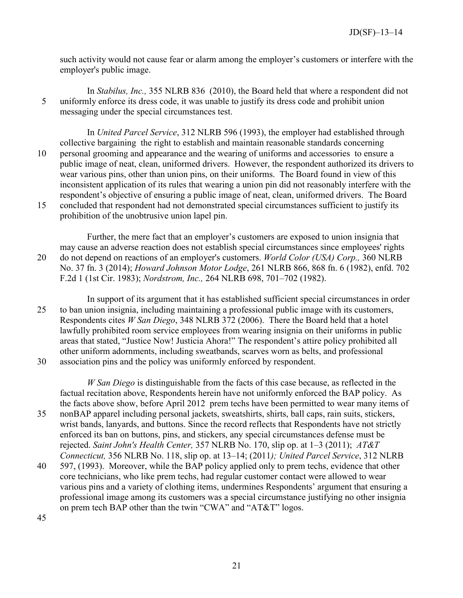such activity would not cause fear or alarm among the employer's customers or interfere with the employer's public image.

In *Stabilus, Inc.,* 355 NLRB 836 (2010), the Board held that where a respondent did not 5 uniformly enforce its dress code, it was unable to justify its dress code and prohibit union messaging under the special circumstances test.

In *United Parcel Service*, 312 NLRB 596 (1993), the employer had established through collective bargaining the right to establish and maintain reasonable standards concerning 10 personal grooming and appearance and the wearing of uniforms and accessories to ensure a public image of neat, clean, uniformed drivers. However, the respondent authorized its drivers to wear various pins, other than union pins, on their uniforms. The Board found in view of this inconsistent application of its rules that wearing a union pin did not reasonably interfere with the respondent's objective of ensuring a public image of neat, clean, uniformed drivers. The Board 15 concluded that respondent had not demonstrated special circumstances sufficient to justify its prohibition of the unobtrusive union lapel pin.

Further, the mere fact that an employer's customers are exposed to union insignia that may cause an adverse reaction does not establish special circumstances since employees' rights 20 do not depend on reactions of an employer's customers. *World Color (USA) Corp.,* 360 NLRB No. 37 fn. 3 (2014); *Howard Johnson Motor Lodge*, 261 NLRB 866, 868 fn. 6 (1982), enfd. 702 F.2d 1 (1st Cir. 1983); *Nordstrom, Inc.,* 264 NLRB 698, 701–702 (1982).

In support of its argument that it has established sufficient special circumstances in order 25 to ban union insignia, including maintaining a professional public image with its customers, Respondents cites *W San Diego*, 348 NLRB 372 (2006). There the Board held that a hotel lawfully prohibited room service employees from wearing insignia on their uniforms in public areas that stated, "Justice Now! Justicia Ahora!" The respondent's attire policy prohibited all other uniform adornments, including sweatbands, scarves worn as belts, and professional

30 association pins and the policy was uniformly enforced by respondent.

*W San Diego* is distinguishable from the facts of this case because, as reflected in the factual recitation above, Respondents herein have not uniformly enforced the BAP policy. As the facts above show, before April 2012 prem techs have been permitted to wear many items of

- 35 nonBAP apparel including personal jackets, sweatshirts, shirts, ball caps, rain suits, stickers, wrist bands, lanyards, and buttons. Since the record reflects that Respondents have not strictly enforced its ban on buttons, pins, and stickers, any special circumstances defense must be rejected. *Saint John's Health Center,* 357 NLRB No. 170, slip op. at 1–3 (2011); *AT&T Connecticut,* 356 NLRB No. 118, slip op. at 13–14; (2011*); United Parcel Service*, 312 NLRB
- 40 597, (1993). Moreover, while the BAP policy applied only to prem techs, evidence that other core technicians, who like prem techs, had regular customer contact were allowed to wear various pins and a variety of clothing items, undermines Respondents' argument that ensuring a professional image among its customers was a special circumstance justifying no other insignia on prem tech BAP other than the twin "CWA" and "AT&T" logos.

45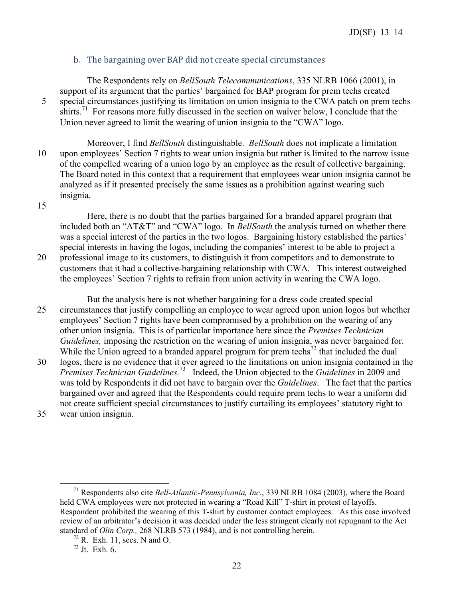# b. The bargaining over BAP did not create special circumstances

<span id="page-24-0"></span>The Respondents rely on *BellSouth Telecommunications*, 335 NLRB 1066 (2001), in support of its argument that the parties' bargained for BAP program for prem techs created 5 special circumstances justifying its limitation on union insignia to the CWA patch on prem techs shirts.<sup>[71](#page-24-1)</sup> For reasons more fully discussed in the section on waiver below, I conclude that the Union never agreed to limit the wearing of union insignia to the "CWA" logo.

Moreover, I find *BellSouth* distinguishable. *BellSouth* does not implicate a limitation 10 upon employees' Section 7 rights to wear union insignia but rather is limited to the narrow issue of the compelled wearing of a union logo by an employee as the result of collective bargaining. The Board noted in this context that a requirement that employees wear union insignia cannot be analyzed as if it presented precisely the same issues as a prohibition against wearing such insignia.

15

Here, there is no doubt that the parties bargained for a branded apparel program that included both an "AT&T" and "CWA" logo. In *BellSouth* the analysis turned on whether there was a special interest of the parties in the two logos. Bargaining history established the parties' special interests in having the logos, including the companies' interest to be able to project a 20 professional image to its customers, to distinguish it from competitors and to demonstrate to customers that it had a collective-bargaining relationship with CWA. This interest outweighed the employees' Section 7 rights to refrain from union activity in wearing the CWA logo.

But the analysis here is not whether bargaining for a dress code created special 25 circumstances that justify compelling an employee to wear agreed upon union logos but whether employees' Section 7 rights have been compromised by a prohibition on the wearing of any other union insignia. This is of particular importance here since the *Premises Technician Guidelines,* imposing the restriction on the wearing of union insignia, was never bargained for. While the Union agreed to a branded apparel program for prem techs<sup>[72](#page-24-2)</sup> that included the dual

30 logos, there is no evidence that it ever agreed to the limitations on union insignia contained in the *Premises Technician Guidelines.*[73](#page-24-3) Indeed, the Union objected to the *Guidelines* in 2009 and was told by Respondents it did not have to bargain over the *Guidelines*. The fact that the parties bargained over and agreed that the Respondents could require prem techs to wear a uniform did not create sufficient special circumstances to justify curtailing its employees' statutory right to 35 wear union insignia.

<span id="page-24-1"></span><sup>71</sup> Respondents also cite *Bell-Atlantic-Pennsylvania, Inc*., 339 NLRB 1084 (2003), where the Board held CWA employees were not protected in wearing a "Road Kill" T-shirt in protest of layoffs. Respondent prohibited the wearing of this T-shirt by customer contact employees. As this case involved review of an arbitrator's decision it was decided under the less stringent clearly not repugnant to the Act standard of *Olin Corp.,* 268 NLRB 573 (1984), and is not controlling herein.

<span id="page-24-2"></span> $72$  R. Exh. 11, secs. N and O.

<span id="page-24-3"></span> $73$  Jt. Exh. 6.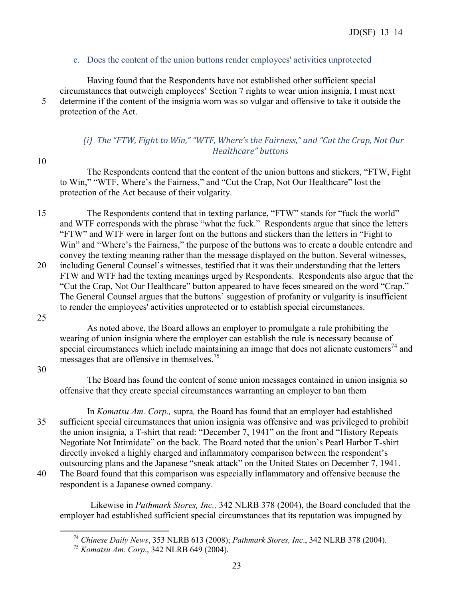# c. Does the content of the union buttons render employees' activities unprotected

<span id="page-25-0"></span>Having found that the Respondents have not established other sufficient special circumstances that outweigh employees' Section 7 rights to wear union insignia, I must next 5 determine if the content of the insignia worn was so vulgar and offensive to take it outside the protection of the Act.

# *(i) The "FTW, Fight to Win," "WTF, Where's the Fairness," and "Cut the Crap, Not Our Healthcare" buttons*

<span id="page-25-1"></span>10

The Respondents contend that the content of the union buttons and stickers, "FTW, Fight to Win," "WTF, Where's the Fairness," and "Cut the Crap, Not Our Healthcare" lost the protection of the Act because of their vulgarity.

15 The Respondents contend that in texting parlance, "FTW" stands for "fuck the world" and WTF corresponds with the phrase "what the fuck." Respondents argue that since the letters "FTW" and WTF were in larger font on the buttons and stickers than the letters in "Fight to Win" and "Where's the Fairness," the purpose of the buttons was to create a double entendre and convey the texting meaning rather than the message displayed on the button. Several witnesses, 20 including General Counsel's witnesses, testified that it was their understanding that the letters FTW and WTF had the texting meanings urged by Respondents. Respondents also argue that the "Cut the Crap, Not Our Healthcare" button appeared to have feces smeared on the word "Crap." The General Counsel argues that the buttons' suggestion of profanity or vulgarity is insufficient to render the employees' activities unprotected or to establish special circumstances.

25

As noted above, the Board allows an employer to promulgate a rule prohibiting the wearing of union insignia where the employer can establish the rule is necessary because of special circumstances which include maintaining an image that does not alienate customers<sup>[74](#page-25-2)</sup> and messages that are offensive in themselves.<sup>[75](#page-25-3)</sup>

30

<span id="page-25-3"></span><span id="page-25-2"></span> $\overline{a}$ 

The Board has found the content of some union messages contained in union insignia so offensive that they create special circumstances warranting an employer to ban them

In *Komatsu Am. Corp.,* supra*,* the Board has found that an employer had established 35 sufficient special circumstances that union insignia was offensive and was privileged to prohibit the union insignia*,* a T-shirt that read: "December 7, 1941" on the front and "History Repeats Negotiate Not Intimidate" on the back. The Board noted that the union's Pearl Harbor T-shirt directly invoked a highly charged and inflammatory comparison between the respondent's outsourcing plans and the Japanese "sneak attack" on the United States on December 7, 1941.

40 The Board found that this comparison was especially inflammatory and offensive because the respondent is a Japanese owned company.

Likewise in *Pathmark Stores, Inc.,* 342 NLRB 378 (2004), the Board concluded that the employer had established sufficient special circumstances that its reputation was impugned by

<sup>74</sup> *Chinese Daily News*, 353 NLRB 613 (2008); *Pathmark Stores, Inc*., 342 NLRB 378 (2004).

<sup>75</sup> *Komatsu Am. Corp*., 342 NLRB 649 (2004).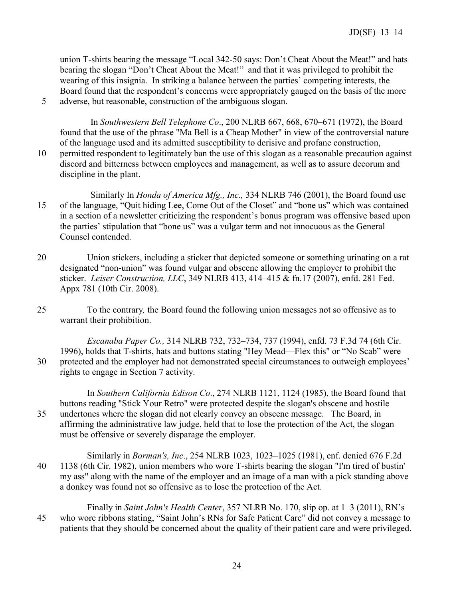union T-shirts bearing the message "Local 342-50 says: Don't Cheat About the Meat!" and hats bearing the slogan "Don't Cheat About the Meat!" and that it was privileged to prohibit the wearing of this insignia. In striking a balance between the parties' competing interests, the Board found that the respondent's concerns were appropriately gauged on the basis of the more 5 adverse, but reasonable, construction of the ambiguous slogan.

In *Southwestern Bell Telephone Co*., 200 NLRB 667, 668, 670–671 (1972), the Board found that the use of the phrase "Ma Bell is a Cheap Mother" in view of the controversial nature of the language used and its admitted susceptibility to derisive and profane construction, 10 permitted respondent to legitimately ban the use of this slogan as a reasonable precaution against discord and bitterness between employees and management, as well as to assure decorum and discipline in the plant.

- Similarly In *Honda of America Mfg., Inc.,* 334 NLRB 746 (2001), the Board found use 15 of the language, "Quit hiding Lee, Come Out of the Closet" and "bone us" which was contained in a section of a newsletter criticizing the respondent's bonus program was offensive based upon the parties' stipulation that "bone us" was a vulgar term and not innocuous as the General Counsel contended.
- 20 Union stickers, including a sticker that depicted someone or something urinating on a rat designated "non-union" was found vulgar and obscene allowing the employer to prohibit the sticker. *Leiser Construction, LLC*, 349 NLRB 413, 414–415 & fn.17 (2007), enfd. 281 Fed. Appx 781 (10th Cir. 2008).
- 25 To the contrary*,* the Board found the following union messages not so offensive as to warrant their prohibition.

*Escanaba Paper Co.,* 314 NLRB 732, 732–734, 737 (1994), enfd. 73 F.3d 74 (6th Cir. 1996), holds that T-shirts, hats and buttons stating "Hey Mead—Flex this" or "No Scab" were 30 protected and the employer had not demonstrated special circumstances to outweigh employees' rights to engage in Section 7 activity.

In *Southern California Edison Co*., 274 NLRB 1121, 1124 (1985), the Board found that buttons reading "Stick Your Retro" were protected despite the slogan's obscene and hostile 35 undertones where the slogan did not clearly convey an obscene message. The Board, in affirming the administrative law judge, held that to lose the protection of the Act, the slogan must be offensive or severely disparage the employer.

- Similarly in *Borman's, Inc*., 254 NLRB 1023, 1023–1025 (1981), enf. denied 676 F.2d 40 1138 (6th Cir. 1982), union members who wore T-shirts bearing the slogan "I'm tired of bustin' my ass" along with the name of the employer and an image of a man with a pick standing above a donkey was found not so offensive as to lose the protection of the Act.
- Finally in *Saint John's Health Center*, 357 NLRB No. 170, slip op. at 1–3 (2011), RN's 45 who wore ribbons stating, "Saint John's RNs for Safe Patient Care" did not convey a message to patients that they should be concerned about the quality of their patient care and were privileged.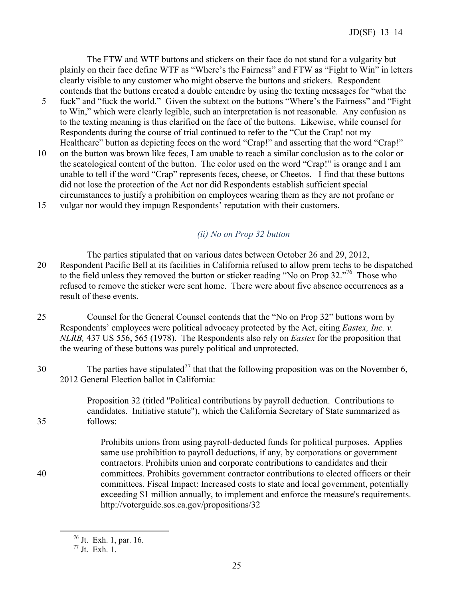The FTW and WTF buttons and stickers on their face do not stand for a vulgarity but plainly on their face define WTF as "Where's the Fairness" and FTW as "Fight to Win" in letters clearly visible to any customer who might observe the buttons and stickers. Respondent contends that the buttons created a double entendre by using the texting messages for "what the

- 5 fuck" and "fuck the world." Given the subtext on the buttons "Where's the Fairness" and "Fight to Win," which were clearly legible, such an interpretation is not reasonable. Any confusion as to the texting meaning is thus clarified on the face of the buttons. Likewise, while counsel for Respondents during the course of trial continued to refer to the "Cut the Crap! not my Healthcare" button as depicting feces on the word "Crap!" and asserting that the word "Crap!"
- 10 on the button was brown like feces, I am unable to reach a similar conclusion as to the color or the scatological content of the button. The color used on the word "Crap!" is orange and I am unable to tell if the word "Crap" represents feces, cheese, or Cheetos. I find that these buttons did not lose the protection of the Act nor did Respondents establish sufficient special circumstances to justify a prohibition on employees wearing them as they are not profane or
- 15 vulgar nor would they impugn Respondents' reputation with their customers.

# *(ii) No on Prop 32 button*

<span id="page-27-0"></span>The parties stipulated that on various dates between October 26 and 29, 2012, 20 Respondent Pacific Bell at its facilities in California refused to allow prem techs to be dispatched to the field unless they removed the button or sticker reading "No on Prop 32."<sup>[76](#page-27-1)</sup> Those who refused to remove the sticker were sent home. There were about five absence occurrences as a result of these events.

- 25 Counsel for the General Counsel contends that the "No on Prop 32" buttons worn by Respondents' employees were political advocacy protected by the Act, citing *Eastex, Inc. v. NLRB,* 437 US 556, 565 (1978). The Respondents also rely on *Eastex* for the proposition that the wearing of these buttons was purely political and unprotected.
- The parties have stipulated<sup>[77](#page-27-2)</sup> that that the following proposition was on the November 6, 2012 General Election ballot in California:

Proposition 32 (titled "Political contributions by payroll deduction. Contributions to candidates. Initiative statute"), which the California Secretary of State summarized as 35 follows:

Prohibits unions from using payroll-deducted funds for political purposes. Applies same use prohibition to payroll deductions, if any, by corporations or government contractors. Prohibits union and corporate contributions to candidates and their 40 committees. Prohibits government contractor contributions to elected officers or their committees. Fiscal Impact: Increased costs to state and local government, potentially exceeding \$1 million annually, to implement and enforce the measure's requirements. http://voterguide.sos.ca.gov/propositions/32

<span id="page-27-2"></span><span id="page-27-1"></span><sup>76</sup> Jt. Exh. 1, par. 16.

<sup>77</sup> Jt. Exh. 1.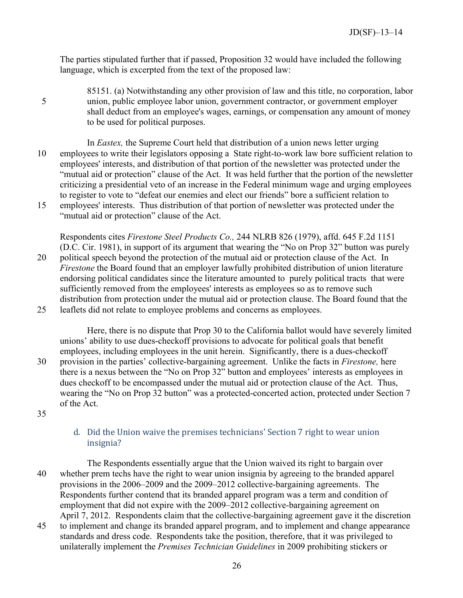The parties stipulated further that if passed, Proposition 32 would have included the following language, which is excerpted from the text of the proposed law:

85151. (a) Notwithstanding any other provision of law and this title, no corporation, labor 5 union, public employee labor union, government contractor, or government employer shall deduct from an employee's wages, earnings, or compensation any amount of money to be used for political purposes.

In *Eastex,* the Supreme Court held that distribution of a union news letter urging 10 employees to write their legislators opposing a State right-to-work law bore sufficient relation to employees' interests, and distribution of that portion of the newsletter was protected under the "mutual aid or protection" clause of the Act. It was held further that the portion of the newsletter criticizing a presidential veto of an increase in the Federal minimum wage and urging employees to register to vote to "defeat our enemies and elect our friends" bore a sufficient relation to 15 employees' interests. Thus distribution of that portion of newsletter was protected under the

"mutual aid or protection" clause of the Act.

Respondents cites *Firestone Steel Products Co.,* 244 NLRB 826 (1979), affd. 645 F.2d 1151 (D.C. Cir. 1981), in support of its argument that wearing the "No on Prop 32" button was purely 20 political speech beyond the protection of the mutual aid or protection clause of the Act. In *Firestone* the Board found that an employer lawfully prohibited distribution of union literature endorsing political candidates since the literature amounted to purely political tracts that were sufficiently removed from the employees' interests as employees so as to remove such distribution from protection under the mutual aid or protection clause. The Board found that the 25 leaflets did not relate to employee problems and concerns as employees.

Here, there is no dispute that Prop 30 to the California ballot would have severely limited unions' ability to use dues-checkoff provisions to advocate for political goals that benefit employees, including employees in the unit herein. Significantly, there is a dues-checkoff 30 provision in the parties' collective-bargaining agreement. Unlike the facts in *Firestone,* here there is a nexus between the "No on Prop 32" button and employees' interests as employees in dues checkoff to be encompassed under the mutual aid or protection clause of the Act. Thus, wearing the "No on Prop 32 button" was a protected-concerted action, protected under Section 7 of the Act.

<span id="page-28-0"></span>35

# d. Did the Union waive the premises technicians' Section 7 right to wear union insignia?

The Respondents essentially argue that the Union waived its right to bargain over 40 whether prem techs have the right to wear union insignia by agreeing to the branded apparel provisions in the 2006–2009 and the 2009–2012 collective-bargaining agreements. The Respondents further contend that its branded apparel program was a term and condition of employment that did not expire with the 2009–2012 collective-bargaining agreement on April 7, 2012. Respondents claim that the collective-bargaining agreement gave it the discretion

45 to implement and change its branded apparel program, and to implement and change appearance standards and dress code. Respondents take the position, therefore, that it was privileged to unilaterally implement the *Premises Technician Guidelines* in 2009 prohibiting stickers or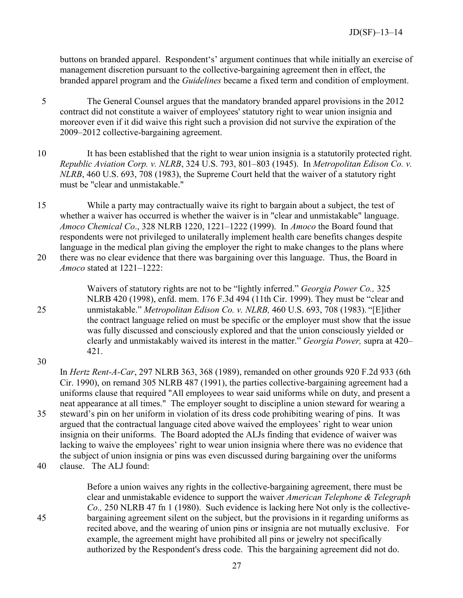buttons on branded apparel. Respondent's' argument continues that while initially an exercise of management discretion pursuant to the collective-bargaining agreement then in effect, the branded apparel program and the *Guidelines* became a fixed term and condition of employment.

- 5 The General Counsel argues that the mandatory branded apparel provisions in the 2012 contract did not constitute a waiver of employees' statutory right to wear union insignia and moreover even if it did waive this right such a provision did not survive the expiration of the 2009–2012 collective-bargaining agreement.
- 10 It has been established that the right to wear union insignia is a statutorily protected right. *Republic Aviation Corp. v. NLRB*, 324 U.S. 793, 801–803 (1945). In *Metropolitan Edison Co. v. NLRB*, 460 U.S. 693, 708 (1983), the Supreme Court held that the waiver of a statutory right must be "clear and unmistakable."
- 15 While a party may contractually waive its right to bargain about a subject, the test of whether a waiver has occurred is whether the waiver is in "clear and unmistakable" language. *Amoco Chemical Co*., 328 NLRB 1220, 1221–1222 (1999). In *Amoco* the Board found that respondents were not privileged to unilaterally implement health care benefits changes despite language in the medical plan giving the employer the right to make changes to the plans where 20 there was no clear evidence that there was bargaining over this language. Thus, the Board in *Amoco* stated at 1221–1222:
- Waivers of statutory rights are not to be "lightly inferred." *Georgia Power Co.,* 325 NLRB 420 (1998), enfd. mem. 176 F.3d 494 (11th Cir. 1999). They must be "clear and 25 unmistakable." *Metropolitan Edison Co. v. NLRB,* 460 U.S. 693, 708 (1983). "[E]ither the contract language relied on must be specific or the employer must show that the issue was fully discussed and consciously explored and that the union consciously yielded or clearly and unmistakably waived its interest in the matter." *Georgia Power,* supra at 420– 421.
- 30

In *Hertz Rent-A-Car*, 297 NLRB 363, 368 (1989), remanded on other grounds 920 F.2d 933 (6th Cir. 1990), on remand 305 NLRB 487 (1991), the parties collective-bargaining agreement had a uniforms clause that required "All employees to wear said uniforms while on duty, and present a neat appearance at all times." The employer sought to discipline a union steward for wearing a 35 steward's pin on her uniform in violation of its dress code prohibiting wearing of pins. It was argued that the contractual language cited above waived the employees' right to wear union insignia on their uniforms. The Board adopted the ALJs finding that evidence of waiver was lacking to waive the employees' right to wear union insignia where there was no evidence that the subject of union insignia or pins was even discussed during bargaining over the uniforms 40 clause. The ALJ found:

Before a union waives any rights in the collective-bargaining agreement, there must be clear and unmistakable evidence to support the waiver *American Telephone & Telegraph Co.,* 250 NLRB 47 fn 1 (1980). Such evidence is lacking here Not only is the collective-45 bargaining agreement silent on the subject, but the provisions in it regarding uniforms as recited above, and the wearing of union pins or insignia are not mutually exclusive. For example, the agreement might have prohibited all pins or jewelry not specifically authorized by the Respondent's dress code. This the bargaining agreement did not do.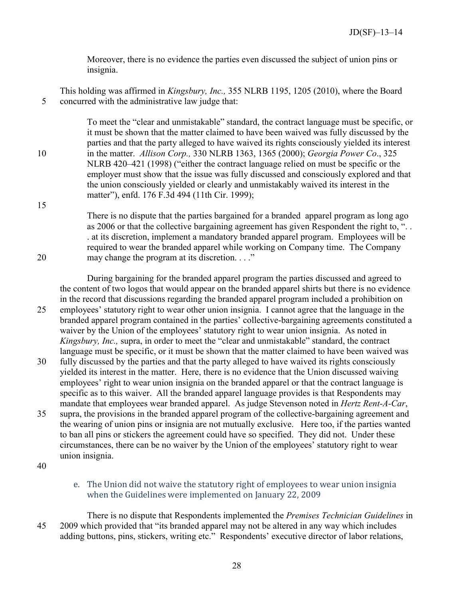Moreover, there is no evidence the parties even discussed the subject of union pins or insignia.

This holding was affirmed in *Kingsbury, Inc.,* 355 NLRB 1195, 1205 (2010), where the Board 5 concurred with the administrative law judge that:

To meet the "clear and unmistakable" standard, the contract language must be specific, or it must be shown that the matter claimed to have been waived was fully discussed by the parties and that the party alleged to have waived its rights consciously yielded its interest 10 in the matter. *Allison Corp.,* 330 NLRB 1363, 1365 (2000); *Georgia Power Co*., 325 NLRB 420–421 (1998) ("either the contract language relied on must be specific or the employer must show that the issue was fully discussed and consciously explored and that the union consciously yielded or clearly and unmistakably waived its interest in the matter"), enfd. 176 F.3d 494 (11th Cir. 1999);

There is no dispute that the parties bargained for a branded apparel program as long ago as 2006 or that the collective bargaining agreement has given Respondent the right to, ". . . at its discretion, implement a mandatory branded apparel program. Employees will be required to wear the branded apparel while working on Company time. The Company 20 may change the program at its discretion. . . ."

During bargaining for the branded apparel program the parties discussed and agreed to the content of two logos that would appear on the branded apparel shirts but there is no evidence in the record that discussions regarding the branded apparel program included a prohibition on

- 25 employees' statutory right to wear other union insignia. I cannot agree that the language in the branded apparel program contained in the parties' collective-bargaining agreements constituted a waiver by the Union of the employees' statutory right to wear union insignia. As noted in *Kingsbury, Inc.,* supra, in order to meet the "clear and unmistakable" standard, the contract language must be specific, or it must be shown that the matter claimed to have been waived was
- 30 fully discussed by the parties and that the party alleged to have waived its rights consciously yielded its interest in the matter. Here, there is no evidence that the Union discussed waiving employees' right to wear union insignia on the branded apparel or that the contract language is specific as to this waiver. All the branded apparel language provides is that Respondents may mandate that employees wear branded apparel. As judge Stevenson noted in *Hertz Rent-A-Car*,
- 35 supra, the provisions in the branded apparel program of the collective-bargaining agreement and the wearing of union pins or insignia are not mutually exclusive. Here too, if the parties wanted to ban all pins or stickers the agreement could have so specified. They did not. Under these circumstances, there can be no waiver by the Union of the employees' statutory right to wear union insignia.
- <span id="page-30-0"></span>40

15

e. The Union did not waive the statutory right of employees to wear union insignia when the Guidelines were implemented on January 22, 2009

There is no dispute that Respondents implemented the *Premises Technician Guidelines* in 45 2009 which provided that "its branded apparel may not be altered in any way which includes adding buttons, pins, stickers, writing etc." Respondents' executive director of labor relations,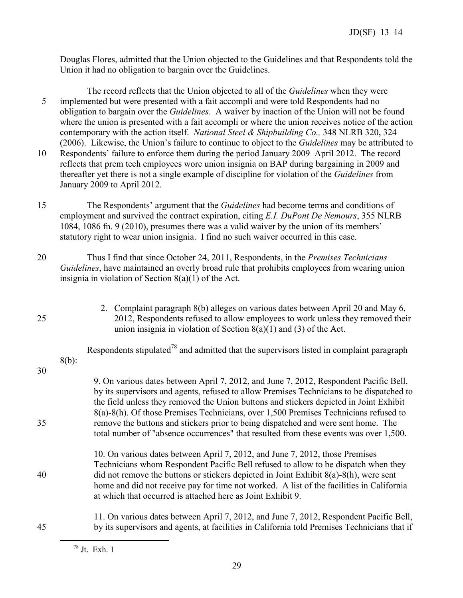Douglas Flores, admitted that the Union objected to the Guidelines and that Respondents told the Union it had no obligation to bargain over the Guidelines.

The record reflects that the Union objected to all of the *Guidelines* when they were 5 implemented but were presented with a fait accompli and were told Respondents had no obligation to bargain over the *Guidelines*. A waiver by inaction of the Union will not be found where the union is presented with a fait accompli or where the union receives notice of the action contemporary with the action itself. *National Steel & Shipbuilding Co.,* 348 NLRB 320, 324 (2006). Likewise, the Union's failure to continue to object to the *Guidelines* may be attributed to 10 Respondents' failure to enforce them during the period January 2009–April 2012. The record

reflects that prem tech employees wore union insignia on BAP during bargaining in 2009 and thereafter yet there is not a single example of discipline for violation of the *Guidelines* from January 2009 to April 2012.

- 15 The Respondents' argument that the *Guidelines* had become terms and conditions of employment and survived the contract expiration, citing *E.I. DuPont De Nemours*, 355 NLRB 1084, 1086 fn. 9 (2010), presumes there was a valid waiver by the union of its members' statutory right to wear union insignia. I find no such waiver occurred in this case.
- 20 Thus I find that since October 24, 2011, Respondents, in the *Premises Technicians Guidelines*, have maintained an overly broad rule that prohibits employees from wearing union insignia in violation of Section 8(a)(1) of the Act.
- 

<span id="page-31-0"></span>2. Complaint paragraph 8(b) alleges on various dates between April 20 and May 6, 25 2012, Respondents refused to allow employees to work unless they removed their union insignia in violation of Section 8(a)(1) and (3) of the Act.

Respondents stipulated<sup>[78](#page-31-1)</sup> and admitted that the supervisors listed in complaint paragraph 8(b):

30

9. On various dates between April 7, 2012, and June 7, 2012, Respondent Pacific Bell, by its supervisors and agents, refused to allow Premises Technicians to be dispatched to the field unless they removed the Union buttons and stickers depicted in Joint Exhibit 8(a)-8(h). Of those Premises Technicians, over 1,500 Premises Technicians refused to 35 remove the buttons and stickers prior to being dispatched and were sent home. The total number of "absence occurrences" that resulted from these events was over 1,500.

10. On various dates between April 7, 2012, and June 7, 2012, those Premises Technicians whom Respondent Pacific Bell refused to allow to be dispatch when they 40 did not remove the buttons or stickers depicted in Joint Exhibit 8(a)-8(h), were sent home and did not receive pay for time not worked. A list of the facilities in California at which that occurred is attached here as Joint Exhibit 9.

<span id="page-31-1"></span>11. On various dates between April 7, 2012, and June 7, 2012, Respondent Pacific Bell, 45 by its supervisors and agents, at facilities in California told Premises Technicians that if

<sup>78</sup> Jt. Exh. 1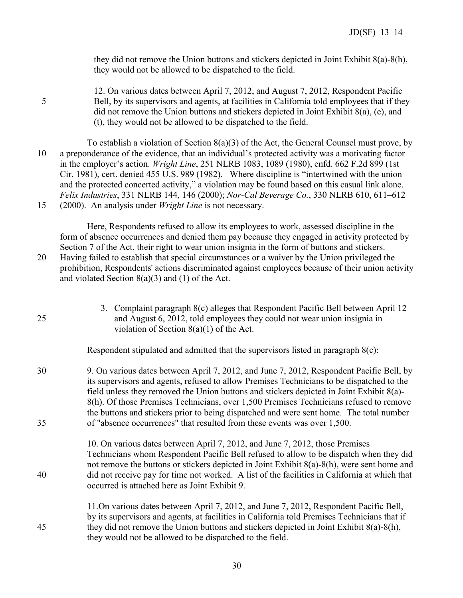they did not remove the Union buttons and stickers depicted in Joint Exhibit 8(a)-8(h), they would not be allowed to be dispatched to the field.

12. On various dates between April 7, 2012, and August 7, 2012, Respondent Pacific 5 Bell, by its supervisors and agents, at facilities in California told employees that if they did not remove the Union buttons and stickers depicted in Joint Exhibit 8(a), (e), and (t), they would not be allowed to be dispatched to the field.

To establish a violation of Section 8(a)(3) of the Act, the General Counsel must prove, by 10 a preponderance of the evidence, that an individual's protected activity was a motivating factor in the employer's action. *Wright Line*, 251 NLRB 1083, 1089 (1980), enfd. 662 F.2d 899 (1st Cir. 1981), cert. denied 455 U.S. 989 (1982). Where discipline is "intertwined with the union and the protected concerted activity," a violation may be found based on this casual link alone. *Felix Industries*, 331 NLRB 144, 146 (2000); *Nor-Cal Beverage Co.*, 330 NLRB 610, 611–612 15 (2000). An analysis under *Wright Line* is not necessary.

Here, Respondents refused to allow its employees to work, assessed discipline in the form of absence occurrences and denied them pay because they engaged in activity protected by Section 7 of the Act, their right to wear union insignia in the form of buttons and stickers. 20 Having failed to establish that special circumstances or a waiver by the Union privileged the prohibition, Respondents' actions discriminated against employees because of their union activity and violated Section 8(a)(3) and (1) of the Act.

| 25       | 3. Complaint paragraph 8(c) alleges that Respondent Pacific Bell between April 12<br>and August 6, 2012, told employees they could not wear union insignia in<br>violation of Section $8(a)(1)$ of the Act.                                                                                                                                                                                                                                                                                                                                        |
|----------|----------------------------------------------------------------------------------------------------------------------------------------------------------------------------------------------------------------------------------------------------------------------------------------------------------------------------------------------------------------------------------------------------------------------------------------------------------------------------------------------------------------------------------------------------|
|          | Respondent stipulated and admitted that the supervisors listed in paragraph 8(c):                                                                                                                                                                                                                                                                                                                                                                                                                                                                  |
| 30<br>35 | 9. On various dates between April 7, 2012, and June 7, 2012, Respondent Pacific Bell, by<br>its supervisors and agents, refused to allow Premises Technicians to be dispatched to the<br>field unless they removed the Union buttons and stickers depicted in Joint Exhibit 8(a)-<br>8(h). Of those Premises Technicians, over 1,500 Premises Technicians refused to remove<br>the buttons and stickers prior to being dispatched and were sent home. The total number<br>of "absence occurrences" that resulted from these events was over 1,500. |
|          | 10. On various dates between April 7, 2012, and June 7, 2012, those Premises                                                                                                                                                                                                                                                                                                                                                                                                                                                                       |
| 40       | Technicians whom Respondent Pacific Bell refused to allow to be dispatch when they did<br>not remove the buttons or stickers depicted in Joint Exhibit $8(a) - 8(h)$ , were sent home and<br>did not receive pay for time not worked. A list of the facilities in California at which that<br>occurred is attached here as Joint Exhibit 9.                                                                                                                                                                                                        |
| 45       | 11. On various dates between April 7, 2012, and June 7, 2012, Respondent Pacific Bell,<br>by its supervisors and agents, at facilities in California told Premises Technicians that if<br>they did not remove the Union buttons and stickers depicted in Joint Exhibit $8(a)$ - $8(h)$ ,<br>they would not be allowed to be dispatched to the field.                                                                                                                                                                                               |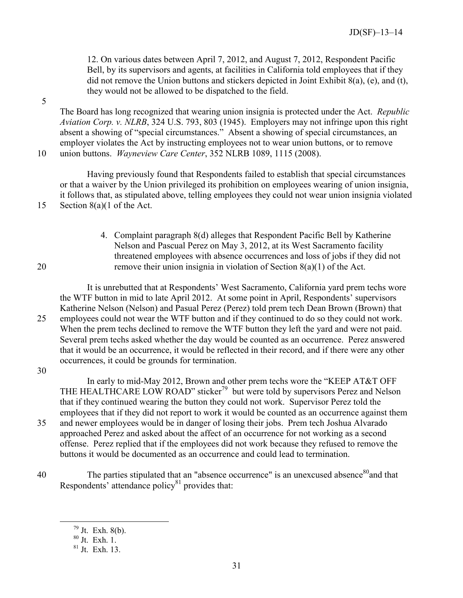12. On various dates between April 7, 2012, and August 7, 2012, Respondent Pacific Bell, by its supervisors and agents, at facilities in California told employees that if they did not remove the Union buttons and stickers depicted in Joint Exhibit 8(a), (e), and (t), they would not be allowed to be dispatched to the field.

5

The Board has long recognized that wearing union insignia is protected under the Act. *Republic Aviation Corp. v. NLRB*, 324 U.S. 793, 803 (1945). Employers may not infringe upon this right absent a showing of "special circumstances." Absent a showing of special circumstances, an employer violates the Act by instructing employees not to wear union buttons, or to remove 10 union buttons. *Wayneview Care Center*, 352 NLRB 1089, 1115 (2008).

Having previously found that Respondents failed to establish that special circumstances or that a waiver by the Union privileged its prohibition on employees wearing of union insignia, it follows that, as stipulated above, telling employees they could not wear union insignia violated 15 Section 8(a)(1 of the Act.

4. Complaint paragraph 8(d) alleges that Respondent Pacific Bell by Katherine Nelson and Pascual Perez on May 3, 2012, at its West Sacramento facility threatened employees with absence occurrences and loss of jobs if they did not 20 remove their union insignia in violation of Section 8(a)(1) of the Act.

It is unrebutted that at Respondents' West Sacramento, California yard prem techs wore the WTF button in mid to late April 2012. At some point in April, Respondents' supervisors Katherine Nelson (Nelson) and Pasual Perez (Perez) told prem tech Dean Brown (Brown) that 25 employees could not wear the WTF button and if they continued to do so they could not work. When the prem techs declined to remove the WTF button they left the yard and were not paid. Several prem techs asked whether the day would be counted as an occurrence. Perez answered that it would be an occurrence, it would be reflected in their record, and if there were any other occurrences, it could be grounds for termination.

30

In early to mid-May 2012, Brown and other prem techs wore the "KEEP AT&T OFF THE HEALTHCARE LOW ROAD" sticker<sup>[79](#page-33-0)</sup> but were told by supervisors Perez and Nelson that if they continued wearing the button they could not work. Supervisor Perez told the employees that if they did not report to work it would be counted as an occurrence against them 35 and newer employees would be in danger of losing their jobs. Prem tech Joshua Alvarado approached Perez and asked about the affect of an occurrence for not working as a second offense. Perez replied that if the employees did not work because they refused to remove the buttons it would be documented as an occurrence and could lead to termination.

<span id="page-33-0"></span>The parties stipulated that an "absence occurrence" is an unexcused absence  $80$  and that Respondents' attendance policy<sup>[81](#page-33-2)</sup> provides that:

<span id="page-33-1"></span> $79$  Jt. Exh. 8(b).

<span id="page-33-2"></span><sup>80</sup> Jt. Exh. 1.

 $81$  Jt. Exh. 13.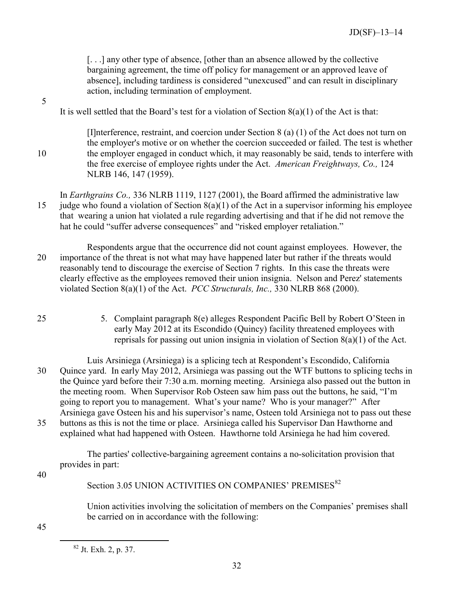[. . .] any other type of absence, [other than an absence allowed by the collective bargaining agreement, the time off policy for management or an approved leave of absence], including tardiness is considered "unexcused" and can result in disciplinary action, including termination of employment.

It is well settled that the Board's test for a violation of Section  $8(a)(1)$  of the Act is that:

5

[I]nterference, restraint, and coercion under Section 8 (a) (1) of the Act does not turn on the employer's motive or on whether the coercion succeeded or failed. The test is whether 10 the employer engaged in conduct which, it may reasonably be said, tends to interfere with the free exercise of employee rights under the Act. *American Freightways, Co.,* 124 NLRB 146, 147 (1959).

In *Earthgrains Co.,* 336 NLRB 1119, 1127 (2001), the Board affirmed the administrative law 15 judge who found a violation of Section  $8(a)(1)$  of the Act in a supervisor informing his employee that wearing a union hat violated a rule regarding advertising and that if he did not remove the hat he could "suffer adverse consequences" and "risked employer retaliation."

Respondents argue that the occurrence did not count against employees. However, the 20 importance of the threat is not what may have happened later but rather if the threats would reasonably tend to discourage the exercise of Section 7 rights. In this case the threats were clearly effective as the employees removed their union insignia. Nelson and Perez' statements violated Section 8(a)(1) of the Act. *PCC Structurals, Inc.,* 330 NLRB 868 (2000).

25 5. Complaint paragraph 8(e) alleges Respondent Pacific Bell by Robert O'Steen in early May 2012 at its Escondido (Quincy) facility threatened employees with reprisals for passing out union insignia in violation of Section 8(a)(1) of the Act.

Luis Arsiniega (Arsiniega) is a splicing tech at Respondent's Escondido, California 30 Quince yard. In early May 2012, Arsiniega was passing out the WTF buttons to splicing techs in the Quince yard before their 7:30 a.m. morning meeting. Arsiniega also passed out the button in the meeting room. When Supervisor Rob Osteen saw him pass out the buttons, he said, "I'm going to report you to management. What's your name? Who is your manager?" After Arsiniega gave Osteen his and his supervisor's name, Osteen told Arsiniega not to pass out these 35 buttons as this is not the time or place. Arsiniega called his Supervisor Dan Hawthorne and

explained what had happened with Osteen. Hawthorne told Arsiniega he had him covered.

The parties' collective-bargaining agreement contains a no-solicitation provision that provides in part:

40

Section 3.05 UNION ACTIVITIES ON COMPANIES' PREMISES<sup>[82](#page-34-0)</sup>

Union activities involving the solicitation of members on the Companies' premises shall be carried on in accordance with the following:

<span id="page-34-0"></span>45

<sup>82</sup> Jt. Exh. 2, p. 37.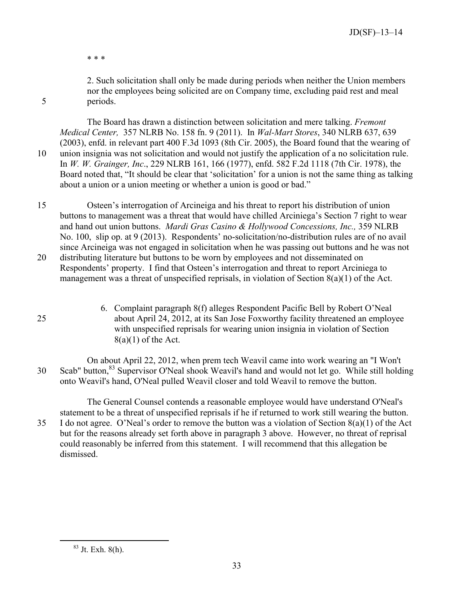\* \* \*

2. Such solicitation shall only be made during periods when neither the Union members nor the employees being solicited are on Company time, excluding paid rest and meal 5 periods.

The Board has drawn a distinction between solicitation and mere talking. *Fremont Medical Center,* 357 NLRB No. 158 fn. 9 (2011). In *Wal-Mart Stores*, 340 NLRB 637, 639 (2003), enfd. in relevant part 400 F.3d 1093 (8th Cir. 2005), the Board found that the wearing of 10 union insignia was not solicitation and would not justify the application of a no solicitation rule. In *W. W. Grainger, Inc*., 229 NLRB 161, 166 (1977), enfd. 582 F.2d 1118 (7th Cir. 1978), the Board noted that, "It should be clear that 'solicitation' for a union is not the same thing as talking about a union or a union meeting or whether a union is good or bad."

15 Osteen's interrogation of Arcineiga and his threat to report his distribution of union buttons to management was a threat that would have chilled Arciniega's Section 7 right to wear and hand out union buttons. *Mardi Gras Casino & Hollywood Concessions, Inc.,* 359 NLRB No. 100, slip op. at 9 (2013). Respondents' no-solicitation/no-distribution rules are of no avail since Arcineiga was not engaged in solicitation when he was passing out buttons and he was not 20 distributing literature but buttons to be worn by employees and not disseminated on Respondents' property. I find that Osteen's interrogation and threat to report Arciniega to

- management was a threat of unspecified reprisals, in violation of Section 8(a)(1) of the Act.
- 

6. Complaint paragraph 8(f) alleges Respondent Pacific Bell by Robert O'Neal 25 about April 24, 2012, at its San Jose Foxworthy facility threatened an employee with unspecified reprisals for wearing union insignia in violation of Section  $8(a)(1)$  of the Act.

On about April 22, 2012, when prem tech Weavil came into work wearing an "I Won't 30 Scab" button,<sup>[83](#page-35-0)</sup> Supervisor O'Neal shook Weavil's hand and would not let go. While still holding onto Weavil's hand, O'Neal pulled Weavil closer and told Weavil to remove the button.

The General Counsel contends a reasonable employee would have understand O'Neal's statement to be a threat of unspecified reprisals if he if returned to work still wearing the button. 35 I do not agree. O'Neal's order to remove the button was a violation of Section 8(a)(1) of the Act but for the reasons already set forth above in paragraph 3 above. However, no threat of reprisal could reasonably be inferred from this statement. I will recommend that this allegation be dismissed.

<span id="page-35-0"></span> $83$  Jt. Exh. 8(h).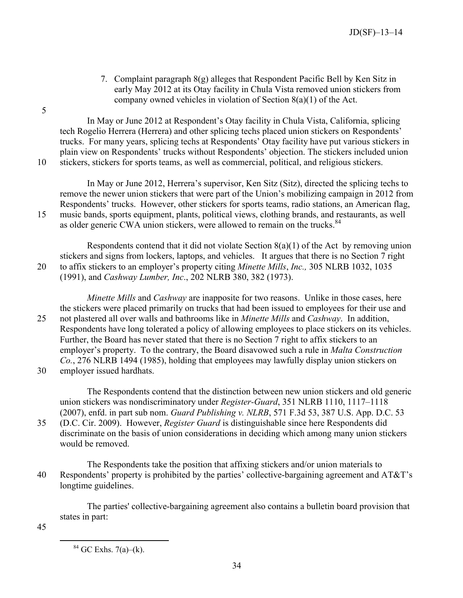7. Complaint paragraph 8(g) alleges that Respondent Pacific Bell by Ken Sitz in early May 2012 at its Otay facility in Chula Vista removed union stickers from company owned vehicles in violation of Section 8(a)(1) of the Act.

In May or June 2012 at Respondent's Otay facility in Chula Vista, California, splicing tech Rogelio Herrera (Herrera) and other splicing techs placed union stickers on Respondents' trucks. For many years, splicing techs at Respondents' Otay facility have put various stickers in plain view on Respondents' trucks without Respondents' objection. The stickers included union 10 stickers, stickers for sports teams, as well as commercial, political, and religious stickers.

In May or June 2012, Herrera's supervisor, Ken Sitz (Sitz), directed the splicing techs to remove the newer union stickers that were part of the Union's mobilizing campaign in 2012 from Respondents' trucks. However, other stickers for sports teams, radio stations, an American flag, 15 music bands, sports equipment, plants, political views, clothing brands, and restaurants, as well as older generic CWA union stickers, were allowed to remain on the trucks.<sup>[84](#page-36-0)</sup>

Respondents contend that it did not violate Section  $8(a)(1)$  of the Act by removing union stickers and signs from lockers, laptops, and vehicles. It argues that there is no Section 7 right 20 to affix stickers to an employer's property citing *Minette Mills*, *Inc.,* 305 NLRB 1032, 1035 (1991), and *Cashway Lumber, Inc*., 202 NLRB 380, 382 (1973).

*Minette Mills* and *Cashway* are inapposite for two reasons. Unlike in those cases, here the stickers were placed primarily on trucks that had been issued to employees for their use and 25 not plastered all over walls and bathrooms like in *Minette Mills* and *Cashway*. In addition, Respondents have long tolerated a policy of allowing employees to place stickers on its vehicles. Further, the Board has never stated that there is no Section 7 right to affix stickers to an employer's property. To the contrary, the Board disavowed such a rule in *Malta Construction Co.*, 276 NLRB 1494 (1985), holding that employees may lawfully display union stickers on

30 employer issued hardhats.

The Respondents contend that the distinction between new union stickers and old generic union stickers was nondiscriminatory under *Register-Guard*, 351 NLRB 1110, 1117–1118 (2007), enfd. in part sub nom. *Guard Publishing v. NLRB*, 571 F.3d 53, 387 U.S. App. D.C. 53

35 (D.C. Cir. 2009). However, *Register Guard* is distinguishable since here Respondents did discriminate on the basis of union considerations in deciding which among many union stickers would be removed.

The Respondents take the position that affixing stickers and/or union materials to 40 Respondents' property is prohibited by the parties' collective-bargaining agreement and AT&T's longtime guidelines.

The parties' collective-bargaining agreement also contains a bulletin board provision that states in part:

<span id="page-36-0"></span>45

 $\overline{a}$ 

5

<sup>84</sup> GC Exhs. 7(a)–(k).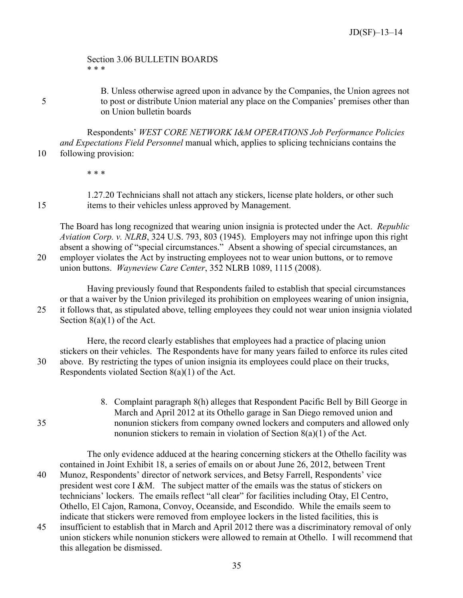#### Section 3.06 BULLETIN BOARDS \* \* \*

B. Unless otherwise agreed upon in advance by the Companies, the Union agrees not 5 to post or distribute Union material any place on the Companies' premises other than on Union bulletin boards

Respondents' *WEST CORE NETWORK I&M OPERATIONS Job Performance Policies and Expectations Field Personnel* manual which, applies to splicing technicians contains the 10 following provision:

\* \* \*

1.27.20 Technicians shall not attach any stickers, license plate holders, or other such 15 items to their vehicles unless approved by Management.

The Board has long recognized that wearing union insignia is protected under the Act. *Republic Aviation Corp. v. NLRB*, 324 U.S. 793, 803 (1945). Employers may not infringe upon this right absent a showing of "special circumstances." Absent a showing of special circumstances, an 20 employer violates the Act by instructing employees not to wear union buttons, or to remove union buttons. *Wayneview Care Center*, 352 NLRB 1089, 1115 (2008).

Having previously found that Respondents failed to establish that special circumstances or that a waiver by the Union privileged its prohibition on employees wearing of union insignia, 25 it follows that, as stipulated above, telling employees they could not wear union insignia violated Section 8(a)(1) of the Act.

Here, the record clearly establishes that employees had a practice of placing union stickers on their vehicles. The Respondents have for many years failed to enforce its rules cited 30 above. By restricting the types of union insignia its employees could place on their trucks, Respondents violated Section 8(a)(1) of the Act.

<span id="page-37-0"></span>8. Complaint paragraph 8(h) alleges that Respondent Pacific Bell by Bill George in March and April 2012 at its Othello garage in San Diego removed union and 35 nonunion stickers from company owned lockers and computers and allowed only nonunion stickers to remain in violation of Section 8(a)(1) of the Act.

The only evidence adduced at the hearing concerning stickers at the Othello facility was contained in Joint Exhibit 18, a series of emails on or about June 26, 2012, between Trent 40 Munoz, Respondents' director of network services, and Betsy Farrell, Respondents' vice president west core I &M. The subject matter of the emails was the status of stickers on technicians' lockers. The emails reflect "all clear" for facilities including Otay, El Centro, Othello, El Cajon, Ramona, Convoy, Oceanside, and Escondido. While the emails seem to indicate that stickers were removed from employee lockers in the listed facilities, this is

45 insufficient to establish that in March and April 2012 there was a discriminatory removal of only union stickers while nonunion stickers were allowed to remain at Othello. I will recommend that this allegation be dismissed.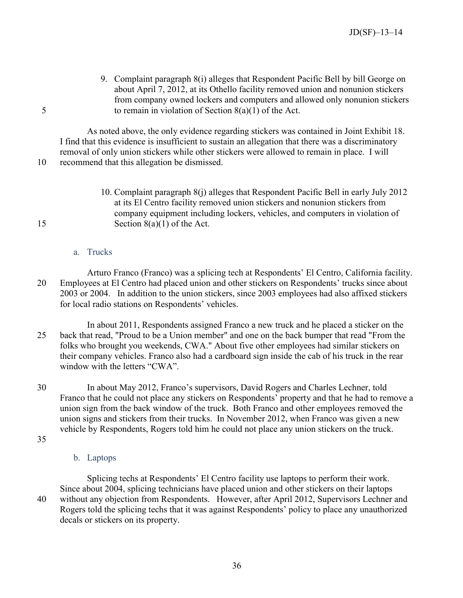<span id="page-38-0"></span>9. Complaint paragraph 8(i) alleges that Respondent Pacific Bell by bill George on about April 7, 2012, at its Othello facility removed union and nonunion stickers from company owned lockers and computers and allowed only nonunion stickers 5 to remain in violation of Section 8(a)(1) of the Act.

As noted above, the only evidence regarding stickers was contained in Joint Exhibit 18. I find that this evidence is insufficient to sustain an allegation that there was a discriminatory removal of only union stickers while other stickers were allowed to remain in place. I will 10 recommend that this allegation be dismissed.

<span id="page-38-1"></span>10. Complaint paragraph 8(j) alleges that Respondent Pacific Bell in early July 2012 at its El Centro facility removed union stickers and nonunion stickers from company equipment including lockers, vehicles, and computers in violation of 15 Section 8(a)(1) of the Act.

### a. Trucks

<span id="page-38-2"></span>Arturo Franco (Franco) was a splicing tech at Respondents' El Centro, California facility. 20 Employees at El Centro had placed union and other stickers on Respondents' trucks since about 2003 or 2004. In addition to the union stickers, since 2003 employees had also affixed stickers for local radio stations on Respondents' vehicles.

In about 2011, Respondents assigned Franco a new truck and he placed a sticker on the 25 back that read, "Proud to be a Union member" and one on the back bumper that read "From the folks who brought you weekends, CWA." About five other employees had similar stickers on their company vehicles. Franco also had a cardboard sign inside the cab of his truck in the rear window with the letters "CWA".

30 In about May 2012, Franco's supervisors, David Rogers and Charles Lechner, told Franco that he could not place any stickers on Respondents' property and that he had to remove a union sign from the back window of the truck. Both Franco and other employees removed the union signs and stickers from their trucks. In November 2012, when Franco was given a new vehicle by Respondents, Rogers told him he could not place any union stickers on the truck.

<span id="page-38-3"></span>35

# b. Laptops

Splicing techs at Respondents' El Centro facility use laptops to perform their work. Since about 2004, splicing technicians have placed union and other stickers on their laptops 40 without any objection from Respondents. However, after April 2012, Supervisors Lechner and Rogers told the splicing techs that it was against Respondents' policy to place any unauthorized decals or stickers on its property.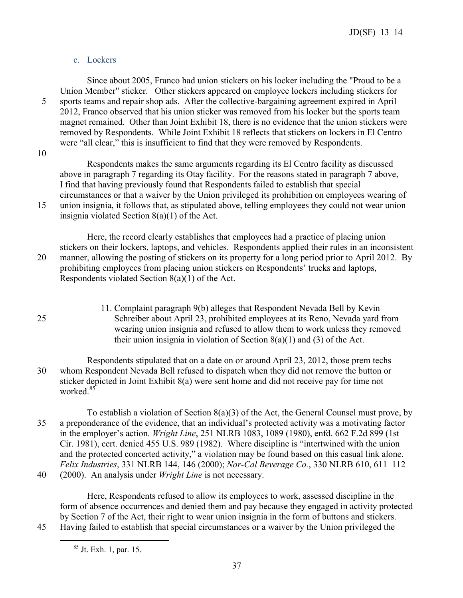# c. Lockers

<span id="page-39-0"></span>Since about 2005, Franco had union stickers on his locker including the "Proud to be a Union Member" sticker. Other stickers appeared on employee lockers including stickers for 5 sports teams and repair shop ads. After the collective-bargaining agreement expired in April 2012, Franco observed that his union sticker was removed from his locker but the sports team magnet remained. Other than Joint Exhibit 18, there is no evidence that the union stickers were removed by Respondents. While Joint Exhibit 18 reflects that stickers on lockers in El Centro were "all clear," this is insufficient to find that they were removed by Respondents.

10

Respondents makes the same arguments regarding its El Centro facility as discussed above in paragraph 7 regarding its Otay facility. For the reasons stated in paragraph 7 above, I find that having previously found that Respondents failed to establish that special circumstances or that a waiver by the Union privileged its prohibition on employees wearing of 15 union insignia, it follows that, as stipulated above, telling employees they could not wear union

insignia violated Section 8(a)(1) of the Act.

Here, the record clearly establishes that employees had a practice of placing union stickers on their lockers, laptops, and vehicles. Respondents applied their rules in an inconsistent 20 manner, allowing the posting of stickers on its property for a long period prior to April 2012. By prohibiting employees from placing union stickers on Respondents' trucks and laptops, Respondents violated Section 8(a)(1) of the Act.

<span id="page-39-1"></span>11. Complaint paragraph 9(b) alleges that Respondent Nevada Bell by Kevin 25 Schreiber about April 23, prohibited employees at its Reno, Nevada yard from wearing union insignia and refused to allow them to work unless they removed their union insignia in violation of Section  $8(a)(1)$  and  $(3)$  of the Act.

Respondents stipulated that on a date on or around April 23, 2012, those prem techs 30 whom Respondent Nevada Bell refused to dispatch when they did not remove the button or sticker depicted in Joint Exhibit 8(a) were sent home and did not receive pay for time not worked<sup>[85](#page-39-2)</sup>

To establish a violation of Section 8(a)(3) of the Act, the General Counsel must prove, by 35 a preponderance of the evidence, that an individual's protected activity was a motivating factor in the employer's action. *Wright Line*, 251 NLRB 1083, 1089 (1980), enfd. 662 F.2d 899 (1st Cir. 1981), cert. denied 455 U.S. 989 (1982). Where discipline is "intertwined with the union and the protected concerted activity," a violation may be found based on this casual link alone. *Felix Industries*, 331 NLRB 144, 146 (2000); *Nor-Cal Beverage Co.*, 330 NLRB 610, 611–112 40 (2000). An analysis under *Wright Line* is not necessary.

<span id="page-39-2"></span>Here, Respondents refused to allow its employees to work, assessed discipline in the form of absence occurrences and denied them and pay because they engaged in activity protected by Section 7 of the Act, their right to wear union insignia in the form of buttons and stickers. 45 Having failed to establish that special circumstances or a waiver by the Union privileged the

<sup>85</sup> Jt. Exh. 1, par. 15.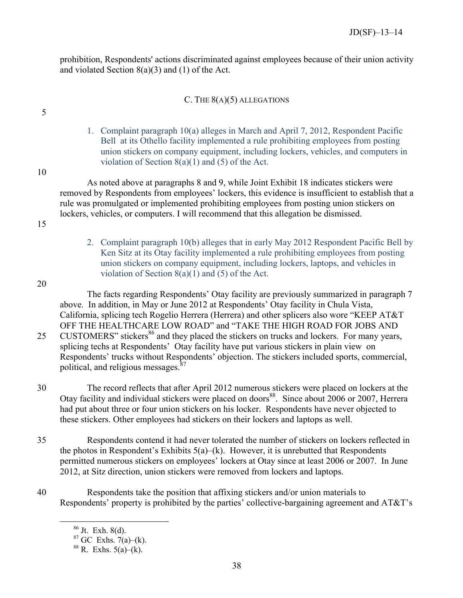prohibition, Respondents' actions discriminated against employees because of their union activity and violated Section 8(a)(3) and (1) of the Act.

# C. THE  $8(A)(5)$  ALLEGATIONS

1. Complaint paragraph 10(a) alleges in March and April 7, 2012, Respondent Pacific Bell at its Othello facility implemented a rule prohibiting employees from posting union stickers on company equipment, including lockers, vehicles, and computers in violation of Section  $8(a)(1)$  and  $(5)$  of the Act.

10

<span id="page-40-1"></span><span id="page-40-0"></span>5

As noted above at paragraphs 8 and 9, while Joint Exhibit 18 indicates stickers were removed by Respondents from employees' lockers, this evidence is insufficient to establish that a rule was promulgated or implemented prohibiting employees from posting union stickers on lockers, vehicles, or computers. I will recommend that this allegation be dismissed.

- <span id="page-40-2"></span>15
- 2. Complaint paragraph 10(b) alleges that in early May 2012 Respondent Pacific Bell by Ken Sitz at its Otay facility implemented a rule prohibiting employees from posting union stickers on company equipment, including lockers, laptops, and vehicles in violation of Section  $8(a)(1)$  and  $(5)$  of the Act.
- 20

The facts regarding Respondents' Otay facility are previously summarized in paragraph 7 above. In addition, in May or June 2012 at Respondents' Otay facility in Chula Vista, California, splicing tech Rogelio Herrera (Herrera) and other splicers also wore "KEEP AT&T OFF THE HEALTHCARE LOW ROAD" and "TAKE THE HIGH ROAD FOR JOBS AND

- 25 CUSTOMERS" stickers<sup>[86](#page-40-3)</sup> and they placed the stickers on trucks and lockers. For many years, splicing techs at Respondents' Otay facility have put various stickers in plain view on Respondents' trucks without Respondents' objection. The stickers included sports, commercial, political, and religious messages.<sup>[87](#page-40-4)</sup>
- 30 The record reflects that after April 2012 numerous stickers were placed on lockers at the Otay facility and individual stickers were placed on doors<sup>[88](#page-40-5)</sup>. Since about 2006 or 2007, Herrera had put about three or four union stickers on his locker. Respondents have never objected to these stickers. Other employees had stickers on their lockers and laptops as well.
- 35 Respondents contend it had never tolerated the number of stickers on lockers reflected in the photos in Respondent's Exhibits  $5(a)$ –(k). However, it is unrebutted that Respondents permitted numerous stickers on employees' lockers at Otay since at least 2006 or 2007. In June 2012, at Sitz direction, union stickers were removed from lockers and laptops.
- <span id="page-40-5"></span><span id="page-40-4"></span><span id="page-40-3"></span>40 Respondents take the position that affixing stickers and/or union materials to Respondents' property is prohibited by the parties' collective-bargaining agreement and AT&T's

 $86$  Jt. Exh.  $8(d)$ .

 $87$  GC Exhs.  $7(a)$ –(k).

 $88$  R. Exhs.  $5(a)$ –(k).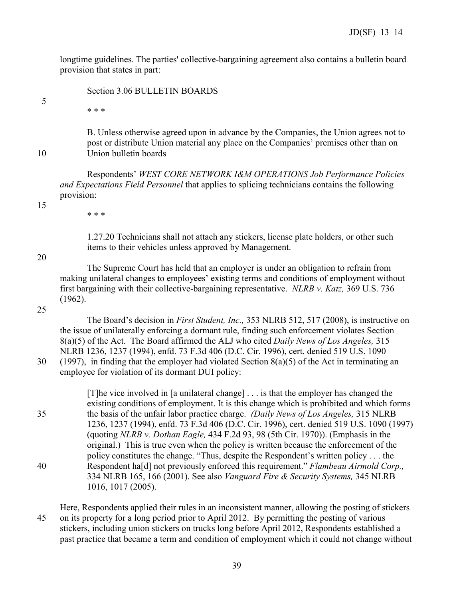longtime guidelines. The parties' collective-bargaining agreement also contains a bulletin board provision that states in part:

Section 3.06 BULLETIN BOARDS

5

B. Unless otherwise agreed upon in advance by the Companies, the Union agrees not to post or distribute Union material any place on the Companies' premises other than on 10 Union bulletin boards

Respondents' *WEST CORE NETWORK I&M OPERATIONS Job Performance Policies and Expectations Field Personnel* that applies to splicing technicians contains the following provision:

15

\* \* \*

\* \* \*

1.27.20 Technicians shall not attach any stickers, license plate holders, or other such items to their vehicles unless approved by Management.

20

The Supreme Court has held that an employer is under an obligation to refrain from making unilateral changes to employees' existing terms and conditions of employment without first bargaining with their collective-bargaining representative. *NLRB v. Katz,* 369 U.S. 736 (1962).

25

The Board's decision in *First Student, Inc.,* 353 NLRB 512, 517 (2008), is instructive on the issue of unilaterally enforcing a dormant rule, finding such enforcement violates Section 8(a)(5) of the Act. The Board affirmed the ALJ who cited *Daily News of Los Angeles,* 315 NLRB 1236, 1237 (1994), enfd. 73 F.3d 406 (D.C. Cir. 1996), cert. denied 519 U.S. 1090 30 (1997), in finding that the employer had violated Section 8(a)(5) of the Act in terminating an

employee for violation of its dormant DUI policy:

[T]he vice involved in [a unilateral change] . . . is that the employer has changed the existing conditions of employment. It is this change which is prohibited and which forms 35 the basis of the unfair labor practice charge. *(Daily News of Los Angeles,* 315 NLRB 1236, 1237 (1994), enfd. 73 F.3d 406 (D.C. Cir. 1996), cert. denied 519 U.S. 1090 (1997) (quoting *NLRB v. Dothan Eagle,* 434 F.2d 93, 98 (5th Cir. 1970)). (Emphasis in the original.) This is true even when the policy is written because the enforcement of the policy constitutes the change. "Thus, despite the Respondent's written policy . . . the 40 Respondent ha[d] not previously enforced this requirement." *Flambeau Airmold Corp.,* 334 NLRB 165, 166 (2001). See also *Vanguard Fire & Security Systems,* 345 NLRB 1016, 1017 (2005).

Here, Respondents applied their rules in an inconsistent manner, allowing the posting of stickers 45 on its property for a long period prior to April 2012. By permitting the posting of various stickers, including union stickers on trucks long before April 2012, Respondents established a past practice that became a term and condition of employment which it could not change without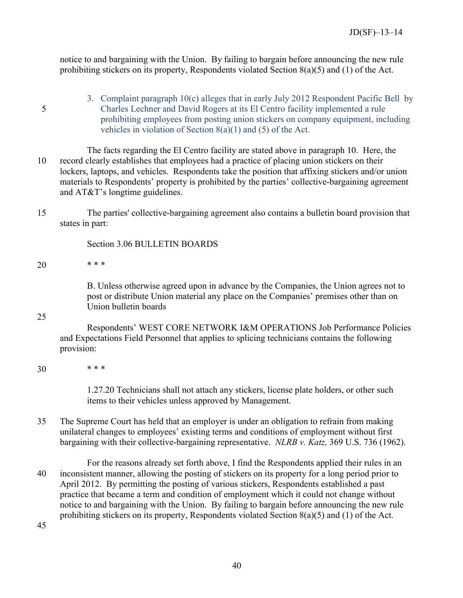notice to and bargaining with the Union. By failing to bargain before announcing the new rule prohibiting stickers on its property, Respondents violated Section 8(a)(5) and (1) of the Act.

<span id="page-42-0"></span>3. Complaint paragraph 10(c) alleges that in early July 2012 Respondent Pacific Bell by 5 Charles Lechner and David Rogers at its El Centro facility implemented a rule prohibiting employees from posting union stickers on company equipment, including vehicles in violation of Section 8(a)(1) and (5) of the Act.

The facts regarding the El Centro facility are stated above in paragraph 10. Here, the 10 record clearly establishes that employees had a practice of placing union stickers on their lockers, laptops, and vehicles. Respondents take the position that affixing stickers and/or union materials to Respondents' property is prohibited by the parties' collective-bargaining agreement and AT&T's longtime guidelines.

15 The parties' collective-bargaining agreement also contains a bulletin board provision that states in part:

Section 3.06 BULLETIN BOARDS

20 \* \* \*

B. Unless otherwise agreed upon in advance by the Companies, the Union agrees not to post or distribute Union material any place on the Companies' premises other than on Union bulletin boards

25

Respondents' WEST CORE NETWORK I&M OPERATIONS Job Performance Policies and Expectations Field Personnel that applies to splicing technicians contains the following provision:

30 \* \* \*

1.27.20 Technicians shall not attach any stickers, license plate holders, or other such items to their vehicles unless approved by Management.

35 The Supreme Court has held that an employer is under an obligation to refrain from making unilateral changes to employees' existing terms and conditions of employment without first bargaining with their collective-bargaining representative. *NLRB v. Katz,* 369 U.S. 736 (1962).

For the reasons already set forth above, I find the Respondents applied their rules in an 40 inconsistent manner, allowing the posting of stickers on its property for a long period prior to April 2012. By permitting the posting of various stickers, Respondents established a past practice that became a term and condition of employment which it could not change without notice to and bargaining with the Union. By failing to bargain before announcing the new rule prohibiting stickers on its property, Respondents violated Section 8(a)(5) and (1) of the Act.

45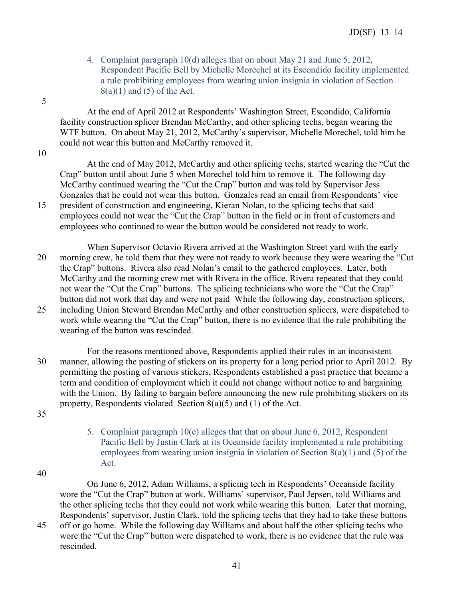4. Complaint paragraph 10(d) alleges that on about May 21 and June 5, 2012, Respondent Pacific Bell by Michelle Morechel at its Escondido facility implemented a rule prohibiting employees from wearing union insignia in violation of Section  $8(a)(1)$  and  $(5)$  of the Act.

At the end of April 2012 at Respondents' Washington Street, Escondido, California facility construction splicer Brendan McCarthy, and other splicing techs, began wearing the WTF button. On about May 21, 2012, McCarthy's supervisor, Michelle Morechel, told him he could not wear this button and McCarthy removed it.

10

<span id="page-43-0"></span>5

At the end of May 2012, McCarthy and other splicing techs, started wearing the "Cut the Crap" button until about June 5 when Morechel told him to remove it. The following day McCarthy continued wearing the "Cut the Crap" button and was told by Supervisor Jess Gonzales that he could not wear this button. Gonzales read an email from Respondents' vice 15 president of construction and engineering, Kieran Nolan, to the splicing techs that said employees could not wear the "Cut the Crap" button in the field or in front of customers and employees who continued to wear the button would be considered not ready to work.

When Supervisor Octavio Rivera arrived at the Washington Street yard with the early 20 morning crew, he told them that they were not ready to work because they were wearing the "Cut the Crap" buttons. Rivera also read Nolan's email to the gathered employees. Later, both McCarthy and the morning crew met with Rivera in the office. Rivera repeated that they could not wear the "Cut the Crap" buttons. The splicing technicians who wore the "Cut the Crap" button did not work that day and were not paid While the following day, construction splicers, 25 including Union Steward Brendan McCarthy and other construction splicers, were dispatched to work while wearing the "Cut the Crap" button, there is no evidence that the rule prohibiting the wearing of the button was rescinded.

For the reasons mentioned above, Respondents applied their rules in an inconsistent 30 manner, allowing the posting of stickers on its property for a long period prior to April 2012. By permitting the posting of various stickers, Respondents established a past practice that became a term and condition of employment which it could not change without notice to and bargaining with the Union. By failing to bargain before announcing the new rule prohibiting stickers on its property, Respondents violated Section 8(a)(5) and (1) of the Act.

- <span id="page-43-1"></span>35
- 5. Complaint paragraph 10(e) alleges that that on about June 6, 2012, Respondent Pacific Bell by Justin Clark at its Oceanside facility implemented a rule prohibiting employees from wearing union insignia in violation of Section  $8(a)(1)$  and  $(5)$  of the Act.
- 40

On June 6, 2012, Adam Williams, a splicing tech in Respondents' Oceanside facility wore the "Cut the Crap" button at work. Williams' supervisor, Paul Jepsen, told Williams and the other splicing techs that they could not work while wearing this button. Later that morning, Respondents' supervisor, Justin Clark, told the splicing techs that they had to take these buttons

45 off or go home. While the following day Williams and about half the other splicing techs who wore the "Cut the Crap" button were dispatched to work, there is no evidence that the rule was rescinded.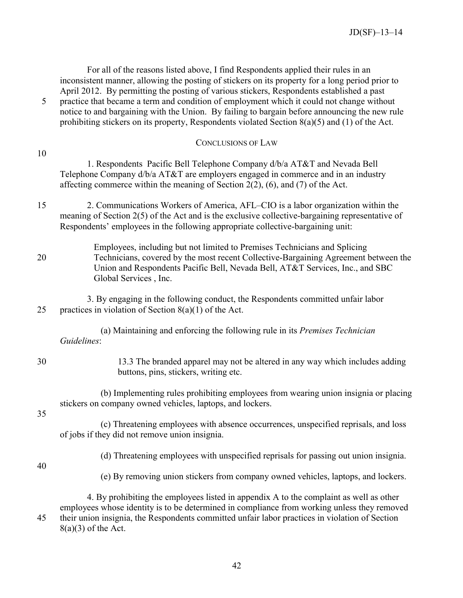For all of the reasons listed above, I find Respondents applied their rules in an inconsistent manner, allowing the posting of stickers on its property for a long period prior to April 2012. By permitting the posting of various stickers, Respondents established a past

5 practice that became a term and condition of employment which it could not change without notice to and bargaining with the Union. By failing to bargain before announcing the new rule prohibiting stickers on its property, Respondents violated Section 8(a)(5) and (1) of the Act.

<span id="page-44-0"></span>

|    | <b>CONCLUSIONS OF LAW</b>                                                                                                                                                                                                                                                  |
|----|----------------------------------------------------------------------------------------------------------------------------------------------------------------------------------------------------------------------------------------------------------------------------|
| 10 | 1. Respondents Pacific Bell Telephone Company d/b/a AT&T and Nevada Bell<br>Telephone Company d/b/a AT&T are employers engaged in commerce and in an industry<br>affecting commerce within the meaning of Section $2(2)$ , (6), and (7) of the Act.                        |
| 15 | 2. Communications Workers of America, AFL-CIO is a labor organization within the<br>meaning of Section 2(5) of the Act and is the exclusive collective-bargaining representative of<br>Respondents' employees in the following appropriate collective-bargaining unit:     |
| 20 | Employees, including but not limited to Premises Technicians and Splicing<br>Technicians, covered by the most recent Collective-Bargaining Agreement between the<br>Union and Respondents Pacific Bell, Nevada Bell, AT&T Services, Inc., and SBC<br>Global Services, Inc. |
| 25 | 3. By engaging in the following conduct, the Respondents committed unfair labor<br>practices in violation of Section $8(a)(1)$ of the Act.                                                                                                                                 |
|    | (a) Maintaining and enforcing the following rule in its Premises Technician<br>Guidelines:                                                                                                                                                                                 |
| 30 | 13.3 The branded apparel may not be altered in any way which includes adding<br>buttons, pins, stickers, writing etc.                                                                                                                                                      |
| 35 | (b) Implementing rules prohibiting employees from wearing union insignia or placing<br>stickers on company owned vehicles, laptops, and lockers.                                                                                                                           |
|    | (c) Threatening employees with absence occurrences, unspecified reprisals, and loss<br>of jobs if they did not remove union insignia.                                                                                                                                      |
|    | (d) Threatening employees with unspecified reprisals for passing out union insignia.                                                                                                                                                                                       |
| 40 | (e) By removing union stickers from company owned vehicles, laptops, and lockers.                                                                                                                                                                                          |

4. By prohibiting the employees listed in appendix A to the complaint as well as other employees whose identity is to be determined in compliance from working unless they removed 45 their union insignia, the Respondents committed unfair labor practices in violation of Section  $8(a)(3)$  of the Act.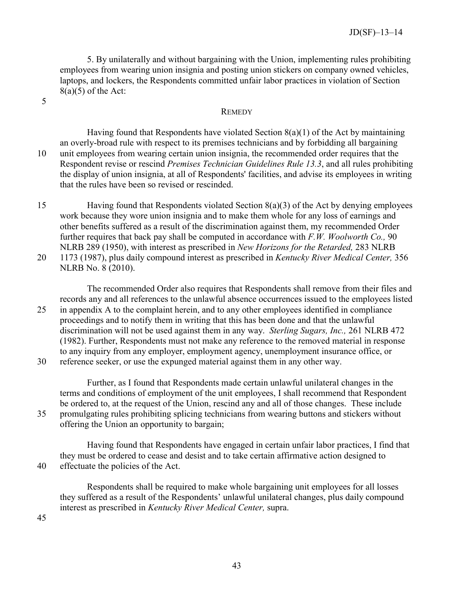5. By unilaterally and without bargaining with the Union, implementing rules prohibiting employees from wearing union insignia and posting union stickers on company owned vehicles, laptops, and lockers, the Respondents committed unfair labor practices in violation of Section  $8(a)(5)$  of the Act:

<span id="page-45-0"></span>5

#### **REMEDY**

Having found that Respondents have violated Section  $8(a)(1)$  of the Act by maintaining an overly-broad rule with respect to its premises technicians and by forbidding all bargaining 10 unit employees from wearing certain union insignia, the recommended order requires that the Respondent revise or rescind *Premises Technician Guidelines Rule 13.3*, and all rules prohibiting the display of union insignia, at all of Respondents' facilities, and advise its employees in writing that the rules have been so revised or rescinded.

15 Having found that Respondents violated Section 8(a)(3) of the Act by denying employees work because they wore union insignia and to make them whole for any loss of earnings and other benefits suffered as a result of the discrimination against them, my recommended Order further requires that back pay shall be computed in accordance with *F.W. Woolworth Co.,* 90 NLRB 289 (1950), with interest as prescribed in *New Horizons for the Retarded,* 283 NLRB 20 1173 (1987), plus daily compound interest as prescribed in *Kentucky River Medical Center,* 356 NLRB No. 8 (2010).

The recommended Order also requires that Respondents shall remove from their files and records any and all references to the unlawful absence occurrences issued to the employees listed 25 in appendix A to the complaint herein, and to any other employees identified in compliance proceedings and to notify them in writing that this has been done and that the unlawful discrimination will not be used against them in any way. *Sterling Sugars, Inc.,* 261 NLRB 472 (1982). Further, Respondents must not make any reference to the removed material in response to any inquiry from any employer, employment agency, unemployment insurance office, or

30 reference seeker, or use the expunged material against them in any other way.

Further, as I found that Respondents made certain unlawful unilateral changes in the terms and conditions of employment of the unit employees, I shall recommend that Respondent be ordered to, at the request of the Union, rescind any and all of those changes. These include 35 promulgating rules prohibiting splicing technicians from wearing buttons and stickers without offering the Union an opportunity to bargain;

Having found that Respondents have engaged in certain unfair labor practices, I find that they must be ordered to cease and desist and to take certain affirmative action designed to 40 effectuate the policies of the Act.

Respondents shall be required to make whole bargaining unit employees for all losses they suffered as a result of the Respondents' unlawful unilateral changes, plus daily compound interest as prescribed in *Kentucky River Medical Center,* supra.

45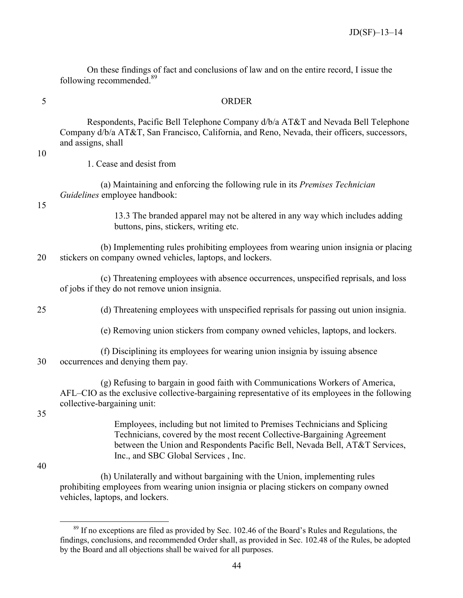On these findings of fact and conclusions of law and on the entire record, I issue the following recommended. [89](#page-46-1)

<span id="page-46-0"></span>

#### 5 ORDER

Respondents, Pacific Bell Telephone Company d/b/a AT&T and Nevada Bell Telephone Company d/b/a AT&T, San Francisco, California, and Reno, Nevada, their officers, successors, and assigns, shall

10

1. Cease and desist from

(a) Maintaining and enforcing the following rule in its *Premises Technician Guidelines* employee handbook:

15

13.3 The branded apparel may not be altered in any way which includes adding buttons, pins, stickers, writing etc.

(b) Implementing rules prohibiting employees from wearing union insignia or placing 20 stickers on company owned vehicles, laptops, and lockers.

(c) Threatening employees with absence occurrences, unspecified reprisals, and loss of jobs if they do not remove union insignia.

25 (d) Threatening employees with unspecified reprisals for passing out union insignia.

(e) Removing union stickers from company owned vehicles, laptops, and lockers.

(f) Disciplining its employees for wearing union insignia by issuing absence 30 occurrences and denying them pay.

(g) Refusing to bargain in good faith with Communications Workers of America, AFL–CIO as the exclusive collective-bargaining representative of its employees in the following collective-bargaining unit:

35

Employees, including but not limited to Premises Technicians and Splicing Technicians, covered by the most recent Collective-Bargaining Agreement between the Union and Respondents Pacific Bell, Nevada Bell, AT&T Services, Inc., and SBC Global Services , Inc.

40

 $\overline{a}$ 

(h) Unilaterally and without bargaining with the Union, implementing rules prohibiting employees from wearing union insignia or placing stickers on company owned vehicles, laptops, and lockers.

<span id="page-46-1"></span><sup>&</sup>lt;sup>89</sup> If no exceptions are filed as provided by Sec. 102.46 of the Board's Rules and Regulations, the findings, conclusions, and recommended Order shall, as provided in Sec. 102.48 of the Rules, be adopted by the Board and all objections shall be waived for all purposes.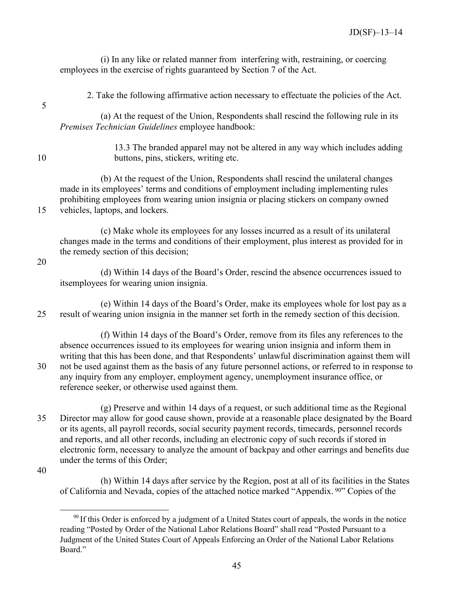|    | (i) In any like or related manner from interfering with, restraining, or coercing<br>employees in the exercise of rights guaranteed by Section 7 of the Act.                                                                                                                                             |
|----|----------------------------------------------------------------------------------------------------------------------------------------------------------------------------------------------------------------------------------------------------------------------------------------------------------|
| 5  | 2. Take the following affirmative action necessary to effectuate the policies of the Act.                                                                                                                                                                                                                |
|    | (a) At the request of the Union, Respondents shall rescind the following rule in its<br>Premises Technician Guidelines employee handbook:                                                                                                                                                                |
| 10 | 13.3 The branded apparel may not be altered in any way which includes adding<br>buttons, pins, stickers, writing etc.                                                                                                                                                                                    |
| 15 | (b) At the request of the Union, Respondents shall rescind the unilateral changes<br>made in its employees' terms and conditions of employment including implementing rules<br>prohibiting employees from wearing union insignia or placing stickers on company owned<br>vehicles, laptops, and lockers. |
|    | (c) Make whole its employees for any losses incurred as a result of its unilateral<br>changes made in the terms and conditions of their employment, plus interest as provided for in<br>the remedy section of this decision;                                                                             |
| 20 | (d) Within 14 days of the Board's Order, rescind the absence occurrences issued to<br>itsemployees for wearing union insignia.                                                                                                                                                                           |
| 25 | (e) Within 14 days of the Board's Order, make its employees whole for lost pay as a<br>result of wearing union insignia in the manner set forth in the remedy section of this decision.                                                                                                                  |
|    | (f) Within 14 days of the Board's Order, remove from its files any references to the                                                                                                                                                                                                                     |

absence occurrences issued to its employees for wearing union insignia and inform them in writing that this has been done, and that Respondents' unlawful discrimination against them will 30 not be used against them as the basis of any future personnel actions, or referred to in response to any inquiry from any employer, employment agency, unemployment insurance office, or reference seeker, or otherwise used against them.

(g) Preserve and within 14 days of a request, or such additional time as the Regional 35 Director may allow for good cause shown, provide at a reasonable place designated by the Board or its agents, all payroll records, social security payment records, timecards, personnel records and reports, and all other records, including an electronic copy of such records if stored in electronic form, necessary to analyze the amount of backpay and other earrings and benefits due under the terms of this Order;

<span id="page-47-0"></span>40

(h) Within 14 days after service by the Region, post at all of its facilities in the States of California and Nevada, copies of the attached notice marked "Appendix. [90](#page-47-0)" Copies of the

 $\overline{a}$  $90$  If this Order is enforced by a judgment of a United States court of appeals, the words in the notice reading "Posted by Order of the National Labor Relations Board" shall read "Posted Pursuant to a Judgment of the United States Court of Appeals Enforcing an Order of the National Labor Relations Board."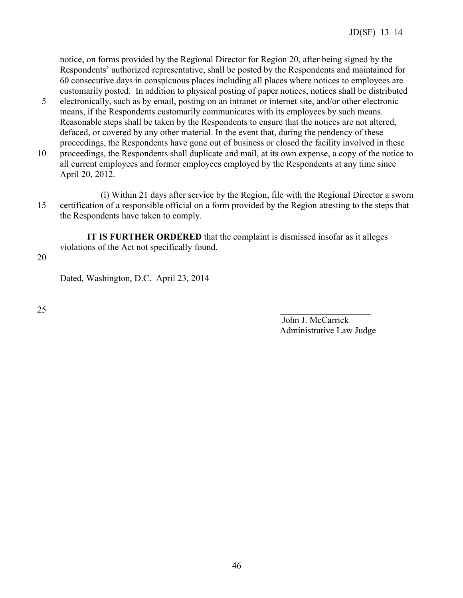notice, on forms provided by the Regional Director for Region 20, after being signed by the Respondents' authorized representative, shall be posted by the Respondents and maintained for 60 consecutive days in conspicuous places including all places where notices to employees are customarily posted. In addition to physical posting of paper notices, notices shall be distributed

- 5 electronically, such as by email, posting on an intranet or internet site, and/or other electronic means, if the Respondents customarily communicates with its employees by such means. Reasonable steps shall be taken by the Respondents to ensure that the notices are not altered, defaced, or covered by any other material. In the event that, during the pendency of these proceedings, the Respondents have gone out of business or closed the facility involved in these
- 10 proceedings, the Respondents shall duplicate and mail, at its own expense, a copy of the notice to all current employees and former employees employed by the Respondents at any time since April 20, 2012.
- (l) Within 21 days after service by the Region, file with the Regional Director a sworn 15 certification of a responsible official on a form provided by the Region attesting to the steps that the Respondents have taken to comply.

**IT IS FURTHER ORDERED** that the complaint is dismissed insofar as it alleges violations of the Act not specifically found.

20

Dated, Washington, D.C. April 23, 2014

 $25$ 

John J. McCarrick Administrative Law Judge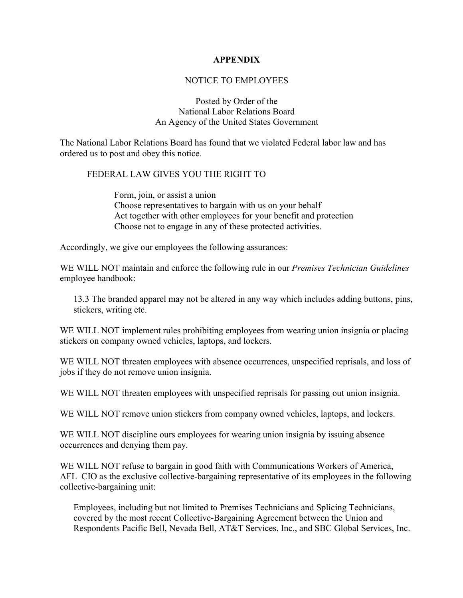#### **APPENDIX**

#### NOTICE TO EMPLOYEES

Posted by Order of the National Labor Relations Board An Agency of the United States Government

<span id="page-49-0"></span>The National Labor Relations Board has found that we violated Federal labor law and has ordered us to post and obey this notice.

### FEDERAL LAW GIVES YOU THE RIGHT TO

Form, join, or assist a union Choose representatives to bargain with us on your behalf Act together with other employees for your benefit and protection Choose not to engage in any of these protected activities.

Accordingly, we give our employees the following assurances:

WE WILL NOT maintain and enforce the following rule in our *Premises Technician Guidelines* employee handbook:

13.3 The branded apparel may not be altered in any way which includes adding buttons, pins, stickers, writing etc.

WE WILL NOT implement rules prohibiting employees from wearing union insignia or placing stickers on company owned vehicles, laptops, and lockers.

WE WILL NOT threaten employees with absence occurrences, unspecified reprisals, and loss of jobs if they do not remove union insignia.

WE WILL NOT threaten employees with unspecified reprisals for passing out union insignia.

WE WILL NOT remove union stickers from company owned vehicles, laptops, and lockers.

WE WILL NOT discipline ours employees for wearing union insignia by issuing absence occurrences and denying them pay.

WE WILL NOT refuse to bargain in good faith with Communications Workers of America, AFL–CIO as the exclusive collective-bargaining representative of its employees in the following collective-bargaining unit:

Employees, including but not limited to Premises Technicians and Splicing Technicians, covered by the most recent Collective-Bargaining Agreement between the Union and Respondents Pacific Bell, Nevada Bell, AT&T Services, Inc., and SBC Global Services, Inc.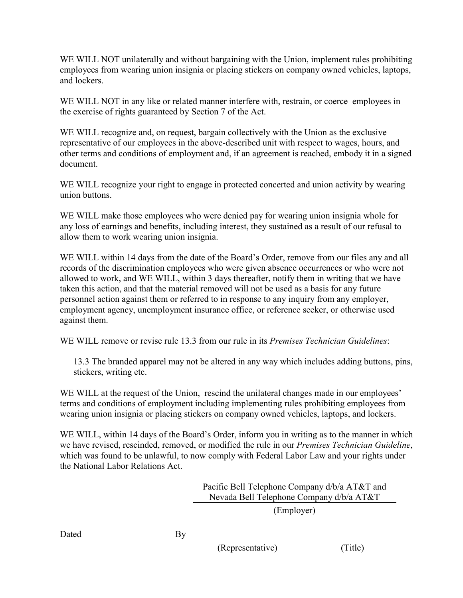WE WILL NOT unilaterally and without bargaining with the Union, implement rules prohibiting employees from wearing union insignia or placing stickers on company owned vehicles, laptops, and lockers.

WE WILL NOT in any like or related manner interfere with, restrain, or coerce employees in the exercise of rights guaranteed by Section 7 of the Act.

WE WILL recognize and, on request, bargain collectively with the Union as the exclusive representative of our employees in the above-described unit with respect to wages, hours, and other terms and conditions of employment and, if an agreement is reached, embody it in a signed document.

WE WILL recognize your right to engage in protected concerted and union activity by wearing union buttons.

WE WILL make those employees who were denied pay for wearing union insignia whole for any loss of earnings and benefits, including interest, they sustained as a result of our refusal to allow them to work wearing union insignia.

WE WILL within 14 days from the date of the Board's Order, remove from our files any and all records of the discrimination employees who were given absence occurrences or who were not allowed to work, and WE WILL, within 3 days thereafter, notify them in writing that we have taken this action, and that the material removed will not be used as a basis for any future personnel action against them or referred to in response to any inquiry from any employer, employment agency, unemployment insurance office, or reference seeker, or otherwise used against them.

WE WILL remove or revise rule 13.3 from our rule in its *Premises Technician Guidelines*:

13.3 The branded apparel may not be altered in any way which includes adding buttons, pins, stickers, writing etc.

WE WILL at the request of the Union, rescind the unilateral changes made in our employees' terms and conditions of employment including implementing rules prohibiting employees from wearing union insignia or placing stickers on company owned vehicles, laptops, and lockers.

WE WILL, within 14 days of the Board's Order, inform you in writing as to the manner in which we have revised, rescinded, removed, or modified the rule in our *Premises Technician Guideline*, which was found to be unlawful, to now comply with Federal Labor Law and your rights under the National Labor Relations Act.

> Pacific Bell Telephone Company d/b/a AT&T and Nevada Bell Telephone Company d/b/a AT&T

> > (Employer)